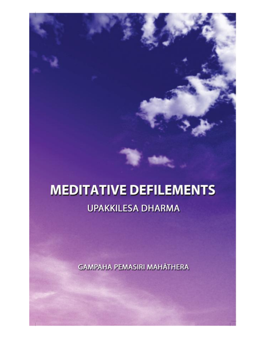# **MEDITATIVE DEFILEMENTS**

# **UPAKKILESA DHARMA**

**GAMPAHA PEMASIRI MAHĀTHERA**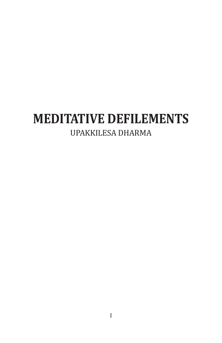### **MEDITATIVE DEFILEMENTS** UPAKKILESA DHARMA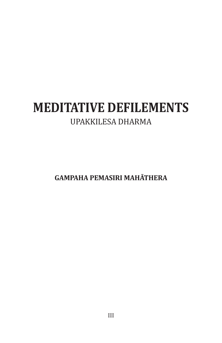## **MEDITATIVE DEFILEMENTS** UPAKKILESA DHARMA

**GAMPAHA PEMASIRI MAHĀTHERA**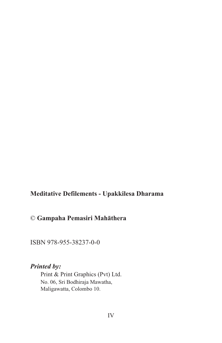#### **Meditative Defilements - Upakkilesa Dharama**

#### © **Gampaha Pemasiri Mahāthera**

ISBN 978-955-38237-0-0

#### *Printed by:*

 Print & Print Graphics (Pvt) Ltd. No. 06, Sri Bodhiraja Mawatha, Maligawatta, Colombo 10.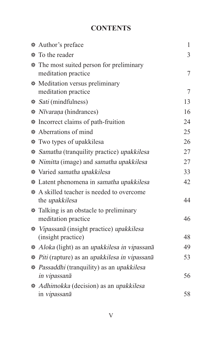#### **CONTENTS**

| * Author's preface                                                     | $\mathbf{1}$ |
|------------------------------------------------------------------------|--------------|
| <b>*</b> To the reader                                                 | 3            |
| <b>*</b> The most suited person for preliminary<br>meditation practice | 7            |
| <b>*</b> Meditation versus preliminary<br>meditation practice          | 7            |
| * Sati (mindfulness)                                                   | 13           |
| * Nīvarana (hindrances)                                                | 16           |
| * Incorrect claims of path-fruition                                    | 24           |
| * Aberrations of mind                                                  | 25           |
| * Two types of upakkilesa                                              | 26           |
| * Samatha (tranquility practice) upakkilesa                            | 27           |
| * Nimitta (image) and samatha upakkilesa                               | 27           |
| * Varied samatha upakkilesa                                            | 33           |
| * Latent phenomena in samatha upakkilesa                               | 42           |
| * A skilled teacher is needed to overcome<br>the <i>upakkilesa</i>     | 44           |
| * Talking is an obstacle to preliminary<br>meditation practice         | 46           |
| * Vipassanā (insight practice) upakkilesa<br>(insight practice)        | 48           |
| * Aloka (light) as an upakkilesa in vipassanā                          | 49           |
| * Piti (rapture) as an upakkilesa in vipassanā                         | 53           |
| * Passaddhi (tranquility) as an upakkilesa                             |              |
| in vipassanā                                                           | 56           |
| * Adhimokka (decision) as an upakkilesa                                |              |
| in vipassanā                                                           | 58           |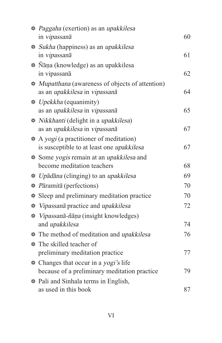| * Paggaha (exertion) as an upakkilesa                   |    |
|---------------------------------------------------------|----|
| in vipassanā                                            | 60 |
| <i>like Sukha</i> (happiness) as an <i>upakkilesa</i>   |    |
| in vipassanā                                            | 61 |
| * Ñāṇa (knowledge) as an upakkilesa                     |    |
| in vipassanā                                            | 62 |
| <i>* Mupatthana</i> (awareness of objects of attention) |    |
| as an upakkilesa in vipassanā                           | 64 |
| <i>Neckkha</i> (equanimity)                             |    |
| as an upakkilesa in vipassanā                           | 65 |
| * Nikkhanti (delight in a upakkilesa)                   |    |
| as an upakkilesa in vipassanā                           | 67 |
| * A yogi (a practitioner of meditation)                 |    |
| is susceptible to at least one <i>upakkilesa</i>        | 67 |
| Some yogis remain at an upakkilesa and                  |    |
| become meditation teachers                              | 68 |
| * Upādāna (clinging) to an upakkilesa                   | 69 |
| * Pāramitā (perfections)                                | 70 |
| * Sleep and preliminary meditation practice             | 70 |
| * <i>Vipassanā</i> practice and <i>upakkilesa</i>       | 72 |
| * <i>Vipassanā-ñāna</i> (insight knowledges)            |    |
| and upakkilesa                                          | 74 |
| * The method of meditation and <i>upakkilesa</i>        | 76 |
| * The skilled teacher of                                |    |
| preliminary meditation practice                         | 77 |
| * Changes that occur in a yogi's life                   |    |
| because of a preliminary meditation practice            | 79 |
| * Pali and Sinhala terms in English,                    |    |
| as used in this book                                    | 87 |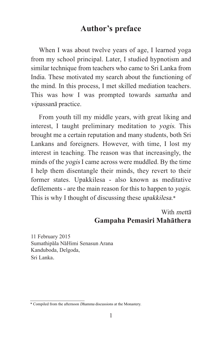#### **Author's preface**

When I was about twelve years of age, I learned yoga from my school principal. Later, I studied hypnotism and similar technique from teachers who came to Sri Lanka from India. These motivated my search about the functioning of the mind. In this process, I met skilled mediation teachers. This was how I was prompted towards samatha and vipassanā practice.

From youth till my middle years, with great liking and interest, I taught preliminary meditation to yogis. This brought me a certain reputation and many students, both Sri Lankans and foreigners. However, with time, I lost my interest in teaching. The reason was that increasingly, the minds of the yogis I came across were muddled. By the time I help them disentangle their minds, they revert to their former states. Upakkilesa - also known as meditative defilements - are the main reason for this to happen to yogis. This is why I thought of discussing these upakkilesa.\*

#### With mettā **Gampaha Pemasiri Mahāthera**

11 February 2015 Sumathipāla NāHimi Senasun Arana Kanduboda, Delgoda, Sri Lanka.

<sup>\*</sup> Compiled from the afternoon Dhamma discussions at the Monastery.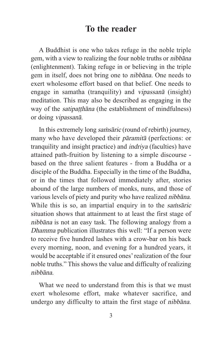#### **To the reader**

A Buddhist is one who takes refuge in the noble triple gem, with a view to realizing the four noble truths or nibbāna (enlightenment). Taking refuge in or believing in the triple gem in itself, does not bring one to nibbāna. One needs to exert wholesome effort based on that belief. One needs to engage in samatha (tranquility) and vipassanā (insight) meditation. This may also be described as engaging in the way of the *satipatthana* (the establishment of mindfulness) or doing vipassanā.

In this extremely long *samsaric* (round of rebirth) journey, many who have developed their pāramitā (perfections: or tranquility and insight practice) and indriya (faculties) have attained path-fruition by listening to a simple discourse based on the three salient features - from a Buddha or a disciple of the Buddha. Especially in the time of the Buddha, or in the times that followed immediately after, stories abound of the large numbers of monks, nuns, and those of various levels of piety and purity who have realized nibbāna. While this is so, an impartial enquiry in to the *samalaric* situation shows that attainment to at least the first stage of nibbāna is not an easy task. The following analogy from a Dhamma publication illustrates this well: "If a person were to receive five hundred lashes with a crow-bar on his back every morning, noon, and evening for a hundred years, it would be acceptable if it ensured ones' realization of the four noble truths." This shows the value and difficulty of realizing nibbāna.

What we need to understand from this is that we must exert wholesome effort, make whatever sacrifice, and undergo any difficulty to attain the first stage of nibbāna.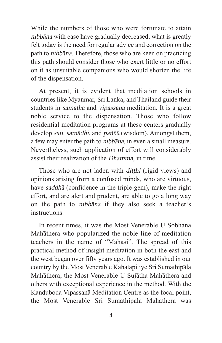While the numbers of those who were fortunate to attain nibbāna with ease have gradually decreased, what is greatly felt today is the need for regular advice and correction on the path to nibbāna. Therefore, those who are keen on practicing this path should consider those who exert little or no effort on it as unsuitable companions who would shorten the life of the dispensation.

At present, it is evident that meditation schools in countries like Myanmar, Sri Lanka, and Thailand guide their students in samatha and vipassanā meditation. It is a great noble service to the dispensation. Those who follow residential meditation programs at these centers gradually develop sati, samādhi, and paññā (wisdom). Amongst them, a few may enter the path to nibbāna, in even a small measure. Nevertheless, such application of effort will considerably assist their realization of the Dhamma, in time.

Those who are not laden with *ditthi* (rigid views) and opinions arising from a confused minds, who are virtuous, have saddhā (confidence in the triple-gem), make the right effort, and are alert and prudent, are able to go a long way on the path to nibbāna if they also seek a teacher's instructions.

In recent times, it was the Most Venerable U Sobhana Mahāthera who popularized the noble line of meditation teachers in the name of "Mahāsi". The spread of this practical method of insight meditation in both the east and the west began over fifty years ago. It was established in our country by the Most Venerable Kahatapitiye Sri Sumathipāla Mahāthera, the Most Venerable U Sujātha Mahāthera and others with exceptional experience in the method. With the Kanduboda Vipassanā Meditation Centre as the focal point, the Most Venerable Sri Sumathipāla Mahāthera was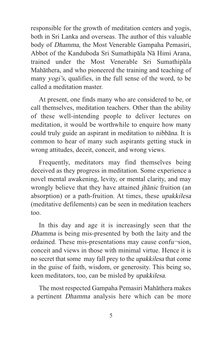responsible for the growth of meditation centers and yogis, both in Sri Lanka and overseas. The author of this valuable body of Dhamma, the Most Venerable Gampaha Pemasiri, Abbot of the Kanduboda Sri Sumathipāla Nā Himi Arana, trained under the Most Venerable Sri Sumathipāla Mahāthera, and who pioneered the training and teaching of many yogi's, qualifies, in the full sense of the word, to be called a meditation master.

At present, one finds many who are considered to be, or call themselves, meditation teachers. Other than the ability of these well-intending people to deliver lectures on meditation, it would be worthwhile to enquire how many could truly guide an aspirant in meditation to nibbāna. It is common to hear of many such aspirants getting stuck in wrong attitudes, deceit, conceit, and wrong views.

Frequently, meditators may find themselves being deceived as they progress in meditation. Some experience a novel mental awakening, levity, or mental clarity, and may wrongly believe that they have attained jhānic fruition (an absorption) or a path-fruition. At times, these upakkilesa (meditative defilements) can be seen in meditation teachers too.

In this day and age it is increasingly seen that the Dhamma is being mis-presented by both the laity and the ordained. These mis-presentations may cause confu¬sion, conceit and views in those with minimal virtue. Hence it is no secret that some may fall prey to the upakkilesa that come in the guise of faith, wisdom, or generosity. This being so, keen meditators, too, can be misled by upakkilesa.

The most respected Gampaha Pemasiri Mahāthera makes a pertinent Dhamma analysis here which can be more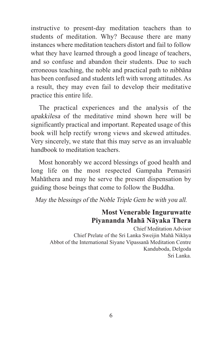instructive to present-day meditation teachers than to students of meditation. Why? Because there are many instances where meditation teachers distort and fail to follow what they have learned through a good lineage of teachers, and so confuse and abandon their students. Due to such erroneous teaching, the noble and practical path to nibbāna has been confused and students left with wrong attitudes. As a result, they may even fail to develop their meditative practice this entire life.

The practical experiences and the analysis of the upakkilesa of the meditative mind shown here will be significantly practical and important. Repeated usage of this book will help rectify wrong views and skewed attitudes. Very sincerely, we state that this may serve as an invaluable handbook to meditation teachers.

Most honorably we accord blessings of good health and long life on the most respected Gampaha Pemasiri Mahāthera and may he serve the present dispensation by guiding those beings that come to follow the Buddha.

May the blessings of the Noble Triple Gem be with you all.

#### **Most Venerable Inguruwatte Piyananda Mahā Nāyaka Thera**

Chief Meditation Advisor Chief Prelate of the Sri Lanka Sweijin Mahā Nikāya Abbot of the International Siyane Vipassanā Meditation Centre Kanduboda, Delgoda Sri Lanka.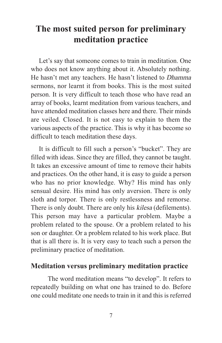#### **The most suited person for preliminary meditation practice**

Let's say that someone comes to train in meditation. One who does not know anything about it. Absolutely nothing. He hasn't met any teachers. He hasn't listened to Dhamma sermons, nor learnt it from books. This is the most suited person. It is very difficult to teach those who have read an array of books, learnt meditation from various teachers, and have attended meditation classes here and there. Their minds are veiled. Closed. It is not easy to explain to them the various aspects of the practice. This is why it has become so difficult to teach meditation these days.

It is difficult to fill such a person's "bucket". They are filled with ideas. Since they are filled, they cannot be taught. It takes an excessive amount of time to remove their habits and practices. On the other hand, it is easy to guide a person who has no prior knowledge. Why? His mind has only sensual desire. His mind has only aversion. There is only sloth and torpor. There is only restlessness and remorse. There is only doubt. There are only his kilesa (defilements). This person may have a particular problem. Maybe a problem related to the spouse. Or a problem related to his son or daughter. Or a problem related to his work place. But that is all there is. It is very easy to teach such a person the preliminary practice of meditation.

#### **Meditation versus preliminary meditation practice**

The word meditation means "to develop". It refers to repeatedly building on what one has trained to do. Before one could meditate one needs to train in it and this is referred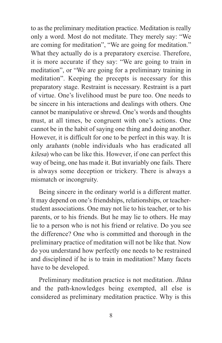to as the preliminary meditation practice. Meditation is really only a word. Most do not meditate. They merely say: "We are coming for meditation", "We are going for meditation." What they actually do is a preparatory exercise. Therefore, it is more accurate if they say: "We are going to train in meditation", or "We are going for a preliminary training in meditation". Keeping the precepts is necessary for this preparatory stage. Restraint is necessary. Restraint is a part of virtue. One's livelihood must be pure too. One needs to be sincere in his interactions and dealings with others. One cannot be manipulative or shrewd. One's words and thoughts must, at all times, be congruent with one's actions. One cannot be in the habit of saying one thing and doing another. However, it is difficult for one to be perfect in this way. It is only arahants (noble individuals who has eradicated all kilesa) who can be like this. However, if one can perfect this way of being, one has made it. But invariably one fails. There is always some deception or trickery. There is always a mismatch or incongruity.

Being sincere in the ordinary world is a different matter. It may depend on one's friendships, relationships, or teacherstudent associations. One may not lie to his teacher, or to his parents, or to his friends. But he may lie to others. He may lie to a person who is not his friend or relative. Do you see the difference? One who is committed and thorough in the preliminary practice of meditation will not be like that. Now do you understand how perfectly one needs to be restrained and disciplined if he is to train in meditation? Many facets have to be developed.

Preliminary meditation practice is not meditation. Jhāna and the path-knowledges being exempted, all else is considered as preliminary meditation practice. Why is this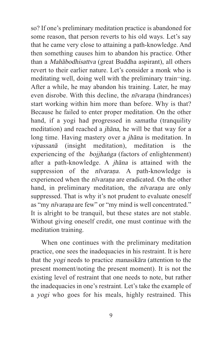so? If one's preliminary meditation practice is abandoned for some reason, that person reverts to his old ways. Let's say that he came very close to attaining a path-knowledge. And then something causes him to abandon his practice. Other than a Mahābodhisattva (great Buddha aspirant), all others revert to their earlier nature. Let's consider a monk who is meditating well, doing well with the preliminary train¬ing. After a while, he may abandon his training. Later, he may even disrobe. With this decline, the nīvaraṇa (hindrances) start working within him more than before. Why is that? Because he failed to enter proper meditation. On the other hand, if a yogi had progressed in samatha (tranquility meditation) and reached a jhāna, he will be that way for a long time. Having mastery over a jhāna is meditation. In vipassanā (insight meditation), meditation is the experiencing of the *bojjhanga* (factors of enlightenment) after a path-knowledge. A jhāna is attained with the suppression of the *nīvarana*. A path-knowledge is experienced when the nīvaraṇa are eradicated. On the other hand, in preliminary meditation, the *nīvarana* are only suppressed. That is why it's not prudent to evaluate oneself as "my nīvarana are few" or "my mind is well concentrated." It is alright to be tranquil, but these states are not stable. Without giving oneself credit, one must continue with the meditation training.

When one continues with the preliminary meditation practice, one sees the inadequacies in his restraint. It is here that the yogi needs to practice manasikāra (attention to the present moment/noting the present moment). It is not the existing level of restraint that one needs to note, but rather the inadequacies in one's restraint. Let's take the example of a yogi who goes for his meals, highly restrained. This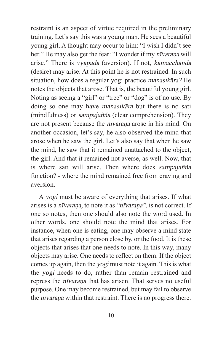restraint is an aspect of virtue required in the preliminary training. Let's say this was a young man. He sees a beautiful young girl. A thought may occur to him: "I wish I didn't see her." He may also get the fear: "I wonder if my nīvaraṇa will arise." There is vyāpāda (aversion). If not, kāmacchanda (desire) may arise. At this point he is not restrained. In such situation, how does a regular yogi practice manasikāra? He notes the objects that arose. That is, the beautiful young girl. Noting as seeing a "girl" or "tree" or "dog" is of no use. By doing so one may have manasikāra but there is no sati (mindfulness) or sampajañña (clear comprehension). They are not present because the *nīvarana* arose in his mind. On another occasion, let's say, he also observed the mind that arose when he saw the girl. Let's also say that when he saw the mind, he saw that it remained unattached to the object, the girl. And that it remained not averse, as well. Now, that is where sati will arise. Then where does sampajañña function? - where the mind remained free from craving and aversion.

A yogi must be aware of everything that arises. If what arises is a nīvaraṇa, to note it as "nīvaraṇa", is not correct. If one so notes, then one should also note the word used. In other words, one should note the mind that arises. For instance, when one is eating, one may observe a mind state that arises regarding a person close by, or the food. It is these objects that arises that one needs to note. In this way, many objects may arise. One needs to reflect on them. If the object comes up again, then the yogi must note it again. This is what the yogi needs to do, rather than remain restrained and repress the nīvaraṇa that has arisen. That serves no useful purpose. One may become restrained, but may fail to observe the *nīvaraṇa* within that restraint. There is no progress there.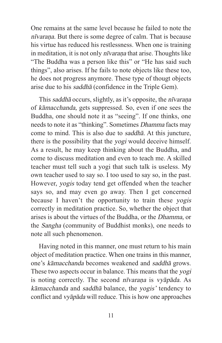One remains at the same level because he failed to note the nīvaraṇa. But there is some degree of calm. That is because his virtue has reduced his restlessness. When one is training in meditation, it is not only *nīvarana* that arise. Thoughts like "The Buddha was a person like this" or "He has said such things", also arises. If he fails to note objects like these too, he does not progress anymore. These type of thougt objects arise due to his saddhā (confidence in the Triple Gem).

This saddhā occurs, slightly, as it's opposite, the nīvaraṇa of kāmacchanda, gets suppressed. So, even if one sees the Buddha, one should note it as "seeing". If one thinks, one needs to note it as "thinking". Sometimes Dhamma facts may come to mind. This is also due to saddhā. At this juncture, there is the possibility that the yogi would deceive himself. As a result, he may keep thinking about the Buddha, and come to discuss meditation and even to teach me. A skilled teacher must tell such a yogi that such talk is useless. My own teacher used to say so. I too used to say so, in the past. However, yogis today tend get offended when the teacher says so, and may even go away. Then I get concerned because I haven't the opportunity to train these yogis correctly in meditation practice. So, whether the object that arises is about the virtues of the Buddha, or the Dhamma, or the Sangha (community of Buddhist monks), one needs to note all such phenomenon.

Having noted in this manner, one must return to his main object of meditation practice. When one trains in this manner, one's kāmacchanda becomes weakened and saddhā grows. These two aspects occur in balance. This means that the yogi is noting correctly. The second nīvaraṇa is vyāpāda. As kāmacchanda and saddhā balance, the yogis' tendency to conflict and vyāpāda will reduce. This is how one approaches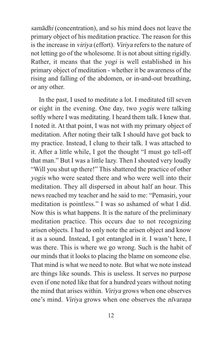samādhi (concentration), and so his mind does not leave the primary object of his meditation practice. The reason for this is the increase in viriya (effort). Viriya refers to the nature of not letting go of the wholesome. It is not about sitting rigidly. Rather, it means that the yogi is well established in his primary object of meditation - whether it be awareness of the rising and falling of the abdomen, or in-and-out breathing, or any other.

In the past, I used to meditate a lot. I meditated till seven or eight in the evening. One day, two yogis were talking softly where I was meditating. I heard them talk. I knew that. I noted it. At that point, I was not with my primary object of meditation. After noting their talk I should have got back to my practice. Instead, I clung to their talk. I was attached to it. After a little while, I got the thought "I must go tell-off that man." But I was a little lazy. Then I shouted very loudly "Will you shut up there!" This shattered the practice of other yogis who were seated there and who were well into their meditation. They all dispersed in about half an hour. This news reached my teacher and he said to me: "Pemasiri, your meditation is pointless." I was so ashamed of what I did. Now this is what happens. It is the nature of the preliminary meditation practice. This occurs due to not recognizing arisen objects. I had to only note the arisen object and know it as a sound. Instead, I got entangled in it. I wasn't here, I was there. This is where we go wrong. Such is the habit of our minds that it looks to placing the blame on someone else. That mind is what we need to note. But what we note instead are things like sounds. This is useless. It serves no purpose even if one noted like that for a hundred years without noting the mind that arises within. Viriya grows when one observes one's mind. Viriya grows when one observes the nīvaraṇa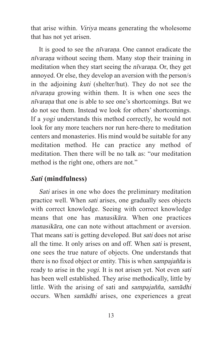that arise within. Viriya means generating the wholesome that has not yet arisen.

It is good to see the *nīvarana*. One cannot eradicate the nīvaraṇa without seeing them. Many stop their training in meditation when they start seeing the *nīvarana*. Or, they get annoyed. Or else, they develop an aversion with the person/s in the adjoining kuti (shelter/hut). They do not see the nīvaraṇa growing within them. It is when one sees the nīvaraṇa that one is able to see one's shortcomings. But we do not see them. Instead we look for others' shortcomings. If a yogi understands this method correctly, he would not look for any more teachers nor run here-there to meditation centers and monasteries. His mind would be suitable for any meditation method. He can practice any method of meditation. Then there will be no talk as: "our meditation method is the right one, others are not."

#### *Sati* **(mindfulness)**

Sati arises in one who does the preliminary meditation practice well. When sati arises, one gradually sees objects with correct knowledge. Seeing with correct knowledge means that one has manasikāra. When one practices manasikāra, one can note without attachment or aversion. That means sati is getting developed. But sati does not arise all the time. It only arises on and off. When sati is present, one sees the true nature of objects. One understands that there is no fixed object or entity. This is when sampajañña is ready to arise in the yogi. It is not arisen yet. Not even sati has been well established. They arise methodically, little by little. With the arising of sati and sampajañña, samādhi occurs. When samādhi arises, one experiences a great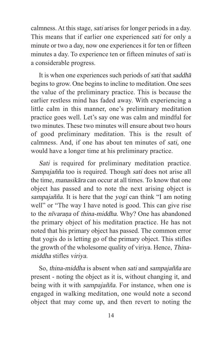calmness. At this stage, sati arises for longer periods in a day. This means that if earlier one experienced sati for only a minute or two a day, now one experiences it for ten or fifteen minutes a day. To experience ten or fifteen minutes of sati is a considerable progress.

It is when one experiences such periods of sati that saddhā begins to grow. One begins to incline to meditation. One sees the value of the preliminary practice. This is because the earlier restless mind has faded away. With experiencing a little calm in this manner, one's preliminary meditation practice goes well. Let's say one was calm and mindful for two minutes. These two minutes will ensure about two hours of good preliminary meditation. This is the result of calmness. And, if one has about ten minutes of sati, one would have a longer time at his preliminary practice.

Sati is required for preliminary meditation practice. Sampajañña too is required. Though sati does not arise all the time, manasikāra can occur at all times. To know that one object has passed and to note the next arising object is sampajañña. It is here that the yogi can think "I am noting well" or "The way I have noted is good. This can give rise to the nīvarana of thina-middha. Why? One has abandoned the primary object of his meditation practice. He has not noted that his primary object has passed. The common error that yogis do is letting go of the primary object. This stifles the growth of the wholesome quality of viriya. Hence, Thinamiddha stifles viriya.

So, thina-middha is absent when sati and sampajañña are present - noting the object as it is, without changing it, and being with it with *sampajañña*. For instance, when one is engaged in walking meditation, one would note a second object that may come up, and then revert to noting the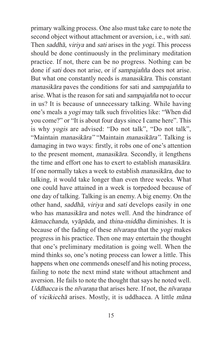primary walking process. One also must take care to note the second object without attachment or aversion, i.e., with sati. Then saddhā, viriya and sati arises in the yogi. This process should be done continuously in the preliminary meditation practice. If not, there can be no progress. Nothing can be done if sati does not arise, or if sampajañña does not arise. But what one constantly needs is manasikāra. This constant manasikāra paves the conditions for sati and sampajañña to arise. What is the reason for sati and sampajañña not to occur in us? It is because of unnecessary talking. While having one's meals a yogi may talk such frivolities like: "When did you come?" or "It is about four days since I came here". This is why yogis are advised: "Do not talk", "Do not talk", "Maintain manasikāra" "Maintain manasikāra". Talking is damaging in two ways: firstly, it robs one of one's attention to the present moment, manasikāra. Secondly, it lengthens the time and effort one has to exert to establish manasikāra. If one normally takes a week to establish manasikāra, due to talking, it would take longer than even three weeks. What one could have attained in a week is torpedoed because of one day of talking. Talking is an enemy. A big enemy. On the other hand, saddhā, viriya and sati develops easily in one who has *manasikāra* and notes well. And the hindrance of kāmacchanda, vyāpāda, and thina-middha diminishes. It is because of the fading of these nīvaraṇa that the yogi makes progress in his practice. Then one may entertain the thought that one's preliminary meditation is going well. When the mind thinks so, one's noting process can lower a little. This happens when one commends oneself and his noting process, failing to note the next mind state without attachment and aversion. He fails to note the thought that says he noted well. Uddhacca is the nīvarana that arises here. If not, the nīvarana of vicikicchā arises. Mostly, it is uddhacca. A little māna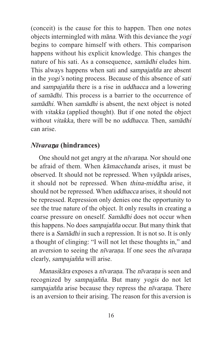(conceit) is the cause for this to happen. Then one notes objects intermingled with māna. With this deviance the yogi begins to compare himself with others. This comparison happens without his explicit knowledge. This changes the nature of his sati. As a consequence, samādhi eludes him. This always happens when sati and sampajañña are absent in the yogi's noting process. Because of this absence of sati and sampajañña there is a rise in uddhacca and a lowering of samādhi. This process is a barrier to the occurrence of samādhi. When samādhi is absent, the next object is noted with vitakka (applied thought). But if one noted the object without vitakka, there will be no uddhacca. Then, samādhi can arise.

#### *Nīvara*ṇ*a* **(hindrances)**

One should not get angry at the nīvaraṇa. Nor should one be afraid of them. When kāmacchanda arises, it must be observed. It should not be repressed. When vyāpāda arises, it should not be repressed. When thina-middha arise, it should not be repressed. When uddhacca arises, it should not be repressed. Repression only denies one the opportunity to see the true nature of the object. It only results in creating a coarse pressure on oneself. Samādhi does not occur when this happens. No does sampajañña occur. But many think that there is a Samādhi in such a repression. It is not so. It is only a thought of clinging: "I will not let these thoughts in," and an aversion to seeing the nīvaraṇa. If one sees the nīvaraṇa clearly, sampajañña will arise.

Manasikāra exposes a nīvaraṇa. The nīvaraṇa is seen and recognized by sampajañña. But many yogis do not let sampajañña arise because they repress the nīvaraṇa. There is an aversion to their arising. The reason for this aversion is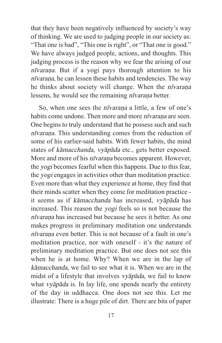that they have been negatively influenced by society's way of thinking. We are used to judging people in our society as: "That one is bad", "This one is right", or "That one is good." We have always judged people, actions, and thoughts. This judging process is the reason why we fear the arising of our nīvaraṇa. But if a yogi pays thorough attention to his nīvaraṇa, he can lessen these habits and tendencies. The way he thinks about society will change. When the nīvaraṇa lessens, he would see the remaining *nīvarana* better.

So, when one sees the *nīvaraṇa* a little, a few of one's habits come undone. Then more and more *nīvarana* are seen. One begins to truly understand that he possess such and such nīvaraṇa. This understanding comes from the reduction of some of his earlier-said habits. With fewer habits, the mind states of kāmacchanda, vyāpāda etc., gets better exposed. More and more of his *nīvaraṇa* becomes apparent. However, the yogi becomes fearful when this happens. Due to this fear, the yogi engages in activities other than meditation practice. Even more than what they experience at home, they find that their minds scatter when they come for meditation practice it seems as if kāmacchanda has increased, vyāpāda has increased. This reason the yogi feels so is not because the nīvaraṇa has increased but because he sees it better. As one makes progress in preliminary meditation one understands nīvaraṇa even better. This is not because of a fault in one's meditation practice, nor with oneself - it's the nature of preliminary meditation practice. But one does not see this when he is at home. Why? When we are in the lap of kāmacchanda, we fail to see what it is. When we are in the midst of a lifestyle that involves vyāpāda, we fail to know what vyāpāda is. In lay life, one spends nearly the entirety of the day in uddhacca. One does not see this. Let me illustrate: There is a huge pile of dirt. There are bits of paper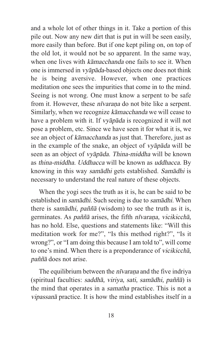and a whole lot of other things in it. Take a portion of this pile out. Now any new dirt that is put in will be seen easily, more easily than before. But if one kept piling on, on top of the old lot, it would not be so apparent. In the same way, when one lives with *kāmacchanda* one fails to see it. When one is immersed in vyāpāda-based objects one does not think he is being aversive. However, when one practices meditation one sees the impurities that come in to the mind. Seeing is not wrong. One must know a serpent to be safe from it. However, these *nīvarana* do not bite like a serpent. Similarly, when we recognize kāmacchanda we will cease to have a problem with it. If *vyāpāda* is recognized it will not pose a problem, etc. Since we have seen it for what it is, we see an object of kāmacchanda as just that. Therefore, just as in the example of the snake, an object of vyāpāda will be seen as an object of vyāpāda. Thina-middha will be known as thina-middha. Uddhacca will be known as uddhacca. By knowing in this way samādhi gets established. Samādhi is necessary to understand the real nature of these objects.

When the yogi sees the truth as it is, he can be said to be established in samādhi. Such seeing is due to samādhi. When there is samādhi, paññā (wisdom) to see the truth as it is, germinates. As paññā arises, the fifth nīvaraṇa, vicikicchā, has no hold. Else, questions and statements like: "Will this meditation work for me?", "Is this method right?", "Is it wrong?", or "I am doing this because I am told to", will come to one's mind. When there is a preponderance of vicikicchā, paññā does not arise.

The equilibrium between the *nīvarana* and the five indriya (spiritual faculties: saddhā, viriya, sati, samādhi, paññā) is the mind that operates in a samatha practice. This is not a vipassanā practice. It is how the mind establishes itself in a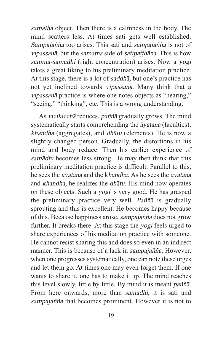samatha object. Then there is a calmness in the body. The mind scatters less. At times sati gets well established. Sampajañña too arises. This sati and sampajañña is not of vipassanā, but the samatha side of satipatthāna. This is how sammā-samādhi (right concentration) arises. Now a yogi takes a great liking to his preliminary meditation practice. At this stage, there is a lot of saddhā, but one's practice has not yet inclined towards vipassanā. Many think that a vipassanā practice is where one notes objects as "hearing," "seeing," "thinking", etc. This is a wrong understanding.

As vicikicchā reduces, paññā gradually grows. The mind systematically starts comprehending the āyatana (faculties), khandha (aggregates), and dhātu (elements). He is now a slightly changed person. Gradually, the distortions in his mind and body reduce. Then his earlier experience of samādhi becomes less strong. He may then think that this preliminary meditation practice is difficult. Parallel to this, he sees the āyatana and the khandha. As he sees the āyatana and khandha, he realizes the dhātu. His mind now operates on these objects. Such a yogi is very good. He has grasped the preliminary practice very well. Paññā is gradually sprouting and this is excellent. He becomes happy because of this. Because happiness arose, sampajañña does not grow further. It breaks there. At this stage the yogi feels urged to share experiences of his meditation practice with someone. He cannot resist sharing this and does so even in an indirect manner. This is because of a lack in sampajañña. However, when one progresses systematically, one can note these urges and let them go. At times one may even forget them. If one wants to share it, one has to make it up. The mind reaches this level slowly, little by little. By mind it is meant paññā. From here onwards, more than samādhi, it is sati and sampajañña that becomes prominent. However it is not to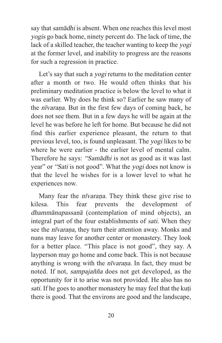say that samādhi is absent. When one reaches this level most yogis go back home, ninety percent do. The lack of time, the lack of a skilled teacher, the teacher wanting to keep the yogi at the former level, and inability to progress are the reasons for such a regression in practice.

Let's say that such a yogi returns to the meditation center after a month or two. He would often thinks that his preliminary meditation practice is below the level to what it was earlier. Why does he think so? Earlier he saw many of the nīvaraṇa. But in the first few days of coming back, he does not see them. But in a few days he will be again at the level he was before he left for home. But because he did not find this earlier experience pleasant, the return to that previous level, too, is found unpleasant. The yogi likes to be where he were earlier - the earlier level of mental calm. Therefore he says: "Samādhi is not as good as it was last year" or "Sati is not good". What the yogi does not know is that the level he wishes for is a lower level to what he experiences now.

Many fear the *nīvaraṇa*. They think these give rise to kilesa. This fear prevents the development of dhammānupassanā (contemplation of mind objects), an integral part of the four establishments of sati. When they see the *nīvarana*, they turn their attention away. Monks and nuns may leave for another center or monastery. They look for a better place. "This place is not good", they say. A layperson may go home and come back. This is not because anything is wrong with the *nīvaraṇa*. In fact, they must be noted. If not, sampajañña does not get developed, as the opportunity for it to arise was not provided. He also has no sati. If he goes to another monastery he may feel that the kuti there is good. That the environs are good and the landscape,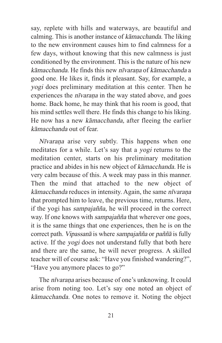say, replete with hills and waterways, are beautiful and calming. This is another instance of kāmacchanda. The liking to the new environment causes him to find calmness for a few days, without knowing that this new calmness is just conditioned by the environment. This is the nature of his new kāmacchanda. He finds this new nīvaraṇa of kāmacchanda a good one. He likes it, finds it pleasant. Say, for example, a yogi does preliminary meditation at this center. Then he experiences the *nīvarana* in the way stated above, and goes home. Back home, he may think that his room is good, that his mind settles well there. He finds this change to his liking. He now has a new kāmacchanda, after fleeing the earlier kāmacchanda out of fear.

Nīvaraṇa arise very subtly. This happens when one meditates for a while. Let's say that a yogi returns to the meditation center, starts on his preliminary meditation practice and abides in his new object of kāmacchanda. He is very calm because of this. A week may pass in this manner. Then the mind that attached to the new object of kāmacchanda reduces in intensity. Again, the same nīvaraṇa that prompted him to leave, the previous time, returns. Here, if the yogi has sampajañña, he will proceed in the correct way. If one knows with sampajañña that wherever one goes, it is the same things that one experiences, then he is on the correct path. Vipassanā is where sampajañña or paññā is fully active. If the yogi does not understand fully that both here and there are the same, he will never progress. A skilled teacher will of course ask: "Have you finished wandering?", "Have you anymore places to go?"

The *nīvarana* arises because of one's unknowing. It could arise from noting too. Let's say one noted an object of kāmacchanda. One notes to remove it. Noting the object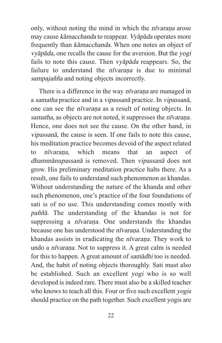only, without noting the mind in which the *nīvaraṇa* arose may cause kāmacchanda to reappear. Vyāpāda operates more frequently than kāmacchanda. When one notes an object of vyāpāda, one recalls the cause for the aversion. But the yogi fails to note this cause. Then vyāpāda reappears. So, the failure to understand the *nīvarana* is due to minimal sampajañña and noting objects incorrectly.

There is a difference in the way nīvaraṇa are managed in a samatha practice and in a vipassanā practice. In vipassanā, one can see the nīvaraṇa as a result of noting objects. In samatha, as objects are not noted, it suppresses the *nīvaraṇa*. Hence, one does not see the cause. On the other hand, in vipassanā, the cause is seen. If one fails to note this cause, his meditation practice becomes devoid of the aspect related to *nīvarana*, which means that an aspect of dhammānupassanā is removed. Then vipassanā does not grow. His preliminary meditation practice halts there. As a result, one fails to understand such phenomenon as khandas. Without understanding the nature of the khanda and other such phenomenon, one's practice of the four foundations of sati is of no use. This understanding comes mostly with paññā. The understanding of the khandas is not for suppressing a *nīvarana*. One understands the khandas because one has understood the nīvaraṇa. Understanding the khandas assists in eradicating the *nīvaraṇa*. They work to undo a nīvaraṇa. Not to suppress it. A great calm is needed for this to happen. A great amount of samādhi too is needed. And, the habit of noting objects thoroughly. Sati must also be established. Such an excellent yogi who is so well developed is indeed rare. There must also be a skilled teacher who knows to teach all this. Four or five such excellent *yogis* should practice on the path together. Such excellent yogis are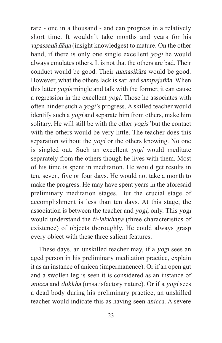rare - one in a thousand - and can progress in a relatively short time. It wouldn't take months and years for his vipassanā ñāṇa (insight knowledges) to mature. On the other hand, if there is only one single excellent yogi he would always emulates others. It is not that the others are bad. Their conduct would be good. Their manasikāra would be good. However, what the others lack is sati and sampajañña. When this latter yogis mingle and talk with the former, it can cause a regression in the excellent yogi. Those he associates with often hinder such a yogi's progress. A skilled teacher would identify such a yogi and separate him from others, make him solitary. He will still be with the other yogis' but the contact with the others would be very little. The teacher does this separation without the *yogi* or the others knowing. No one is singled out. Such an excellent yogi would meditate separately from the others though he lives with them. Most of his time is spent in meditation. He would get results in ten, seven, five or four days. He would not take a month to make the progress. He may have spent years in the aforesaid preliminary meditation stages. But the crucial stage of accomplishment is less than ten days. At this stage, the association is between the teacher and yogi, only. This yogi would understand the ti-lakkhana (three characteristics of existence) of objects thoroughly. He could always grasp every object with these three salient features.

These days, an unskilled teacher may, if a yogi sees an aged person in his preliminary meditation practice, explain it as an instance of anicca (impermanence). Or if an open gut and a swollen leg is seen it is considered as an instance of anicca and dukkha (unsatisfactory nature). Or if a yogi sees a dead body during his preliminary practice, an unskilled teacher would indicate this as having seen anicca. A severe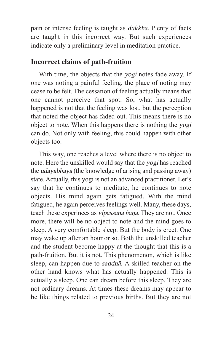pain or intense feeling is taught as dukkha. Plenty of facts are taught in this incorrect way. But such experiences indicate only a preliminary level in meditation practice.

#### **Incorrect claims of path-fruition**

With time, the objects that the yogi notes fade away. If one was noting a painful feeling, the place of noting may cease to be felt. The cessation of feeling actually means that one cannot perceive that spot. So, what has actually happened is not that the feeling was lost, but the perception that noted the object has faded out. This means there is no object to note. When this happens there is nothing the yogi can do. Not only with feeling, this could happen with other objects too.

This way, one reaches a level where there is no object to note. Here the unskilled would say that the yogi has reached the udayabbaya (the knowledge of arising and passing away) state. Actually, this yogi is not an advanced practitioner. Let's say that he continues to meditate, he continues to note objects. His mind again gets fatigued. With the mind fatigued, he again perceives feelings well. Many, these days, teach these experinces as vipassanā ñāṇa. They are not. Once more, there will be no object to note and the mind goes to sleep. A very comfortable sleep. But the body is erect. One may wake up after an hour or so. Both the unskilled teacher and the student become happy at the thought that this is a path-fruition. But it is not. This phenomenon, which is like sleep, can happen due to saddhā. A skilled teacher on the other hand knows what has actually happened. This is actually a sleep. One can dream before this sleep. They are not ordinary dreams. At times these dreams may appear to be like things related to previous births. But they are not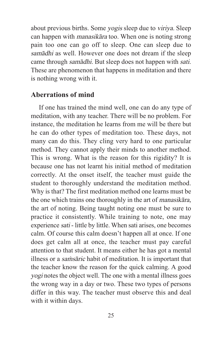about previous births. Some yogis sleep due to viriya. Sleep can happen with manasikāra too. When one is noting strong pain too one can go off to sleep. One can sleep due to samādhi as well. However one does not dream if the sleep came through samādhi. But sleep does not happen with sati. These are phenomenon that happens in meditation and there is nothing wrong with it.

#### **Aberrations of mind**

If one has trained the mind well, one can do any type of meditation, with any teacher. There will be no problem. For instance, the meditation he learns from me will be there but he can do other types of meditation too. These days, not many can do this. They cling very hard to one particular method. They cannot apply their minds to another method. This is wrong. What is the reason for this rigidity? It is because one has not learnt his initial method of meditation correctly. At the onset itself, the teacher must guide the student to thoroughly understand the meditation method. Why is that? The first meditation method one learns must be the one which trains one thoroughly in the art of manasikāra, the art of noting. Being taught noting one must be sure to practice it consistently. While training to note, one may experience sati - little by little. When sati arises, one becomes calm. Of course this calm doesn't happen all at once. If one does get calm all at once, the teacher must pay careful attention to that student. It means either he has got a mental illness or a *samsāric* habit of meditation. It is important that the teacher know the reason for the quick calming. A good yogi notes the object well. The one with a mental illness goes the wrong way in a day or two. These two types of persons differ in this way. The teacher must observe this and deal with it within days.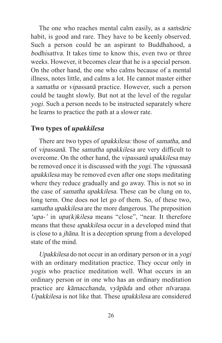The one who reaches mental calm easily, as a samisaric habit, is good and rare. They have to be keenly observed. Such a person could be an aspirant to Buddhahood, a bodhisattva. It takes time to know this, even two or three weeks. However, it becomes clear that he is a special person. On the other hand, the one who calms because of a mental illness, notes little, and calms a lot. He cannot master either a samatha or vipassanā practice. However, such a person could be taught slowly. But not at the level of the regular yogi. Such a person needs to be instructed separately where he learns to practice the path at a slower rate.

#### **Two types of** *upakkilesa*

There are two types of upakkilesa: those of samatha, and of vipassanā. The samatha upakkilesa are very difficult to overcome. On the other hand, the vipassanā upakkilesa may be removed once it is discussed with the yogi. The vipassana upakkilesa may be removed even after one stops meditating where they reduce gradually and go away. This is not so in the case of samatha upakkilesa. These can be clung on to, long term. One does not let go of them. So, of these two, samatha upakkilesa are the more dangerous. The preposition 'upa-' in upa(k)kilesa means "close", "near. It therefore means that these upakkilesa occur in a developed mind that is close to a jhāna. It is a deception sprung from a developed state of the mind.

Upakkilesa do not occur in an ordinary person or in a yogi with an ordinary meditation practice. They occur only in yogis who practice meditation well. What occurs in an ordinary person or in one who has an ordinary meditation practice are kāmacchanda, vyāpāda and other nīvaraṇa. Upakkilesa is not like that. These upakkilesa are considered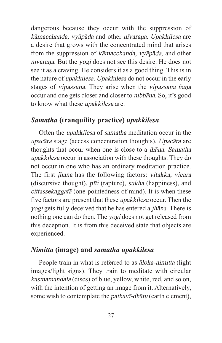dangerous because they occur with the suppression of kāmacchanda, vyāpāda and other nīvarana. Upakkilesa are a desire that grows with the concentrated mind that arises from the suppression of kāmacchanda, vyāpāda, and other nīvaraṇa. But the yogi does not see this desire. He does not see it as a craving. He considers it as a good thing. This is in the nature of upakkilesa. Upakkilesa do not occur in the early stages of vipassanā. They arise when the vipassanā ñāṇa occur and one gets closer and closer to nibbāna. So, it's good to know what these upakkilesa are.

#### *Samatha* **(tranquility practice)** *upakkilesa*

Often the upakkilesa of samatha meditation occur in the upacāra stage (access concentration thoughts). Upacāra are thoughts that occur when one is close to a jhāna. Samatha upakkilesa occur in association with these thoughts. They do not occur in one who has an ordinary meditation practice. The first jhāna has the following factors: vitakka, vicāra (discursive thought), pīti (rapture), sukha (happiness), and cittassekaggatā (one-pointedness of mind). It is when these five factors are present that these upakkilesa occur. Then the yogi gets fully deceived that he has entered a jhāna. There is nothing one can do then. The yogi does not get released from this deception. It is from this deceived state that objects are experienced.

#### *Nimitta* **(image) and** *samatha upakkilesa*

People train in what is referred to as  $\bar{a}$ *loka-nimitta* (light images/light signs). They train to meditate with circular kasiṇamaṇḍala (discs) of blue, yellow, white, red, and so on, with the intention of getting an image from it. Alternatively, some wish to contemplate the *pathavī-dhātu* (earth element),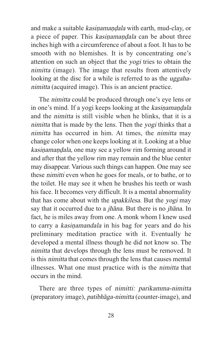and make a suitable kasiṇamaṇḍala with earth, mud-clay, or a piece of paper. This kasinamandala can be about three inches high with a circumference of about a foot. It has to be smooth with no blemishes. It is by concentrating one's attention on such an object that the yogi tries to obtain the nimitta (image). The image that results from attentively looking at the disc for a while is referred to as the *uggaha*nimitta (acquired image). This is an ancient practice.

The nimitta could be produced through one's eye lens or in one's mind. If a yogi keeps looking at the kasinamandala and the nimitta is still visible when he blinks, that it is a nimitta that is made by the lens. Then the yogi thinks that a nimitta has occurred in him. At times, the nimitta may change color when one keeps looking at it. Looking at a blue kasiṇamaṇḍala, one may see a yellow rim forming around it and after that the yellow rim may remain and the blue center may disappear. Various such things can happen. One may see these nimitti even when he goes for meals, or to bathe, or to the toilet. He may see it when he brushes his teeth or wash his face. It becomes very difficult. It is a mental abnormality that has come about with the upakkilesa. But the yogi may say that it occurred due to a jhāna. But there is no jhāna. In fact, he is miles away from one. A monk whom I knew used to carry a kasiṇamandala in his bag for years and do his preliminary meditation practice with it. Eventually he developed a mental illness though he did not know so. The nimitta that develops through the lens must be removed. It is this nimitta that comes through the lens that causes mental illnesses. What one must practice with is the nimitta that occurs in the mind.

There are three types of nimitti: parikamma-nimitta (preparatory image), patibhāga-nimitta (counter-image), and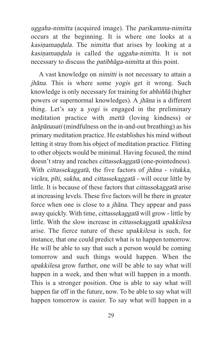uggaha-nimitta (acquired image). The parikamma-nimitta occurs at the beginning. It is where one looks at a kasinamandala. The nimitta that arises by looking at a kasinamandala is called the uggaha-nimitta. It is not necessary to discuss the patibhāga-nimitta at this point.

A vast knowledge on nimitti is not necessary to attain a jhāna. This is where some yogis get it wrong. Such knowledge is only necessary for training for abhiññā (higher powers or supernormal knowledges). A jhāna is a different thing. Let's say a yogi is engaged in the preliminary meditation practice with mettā (loving kindness) or ānāpānasati (mindfulness on the in-and-out breathing) as his primary meditation practice. He establishes his mind without letting it stray from his object of meditation practice. Flitting to other objects would be minimal. Having focused, the mind doesn't stray and reaches cittassekaggatā (one-pointedness). With cittassekaggatā, the five factors of jhāna - vitakka, vicāra, pīti, sukha, and cittassekaggatā - will occur little by little. It is because of these factors that cittassekaggatā arise at increasing levels. These five factors will be there in greater force when one is close to a jhāna. They appear and pass away quickly. With time, cittassekaggatā will grow - little by little. With the slow increase in cittassekaggatā upakkilesa arise. The fierce nature of these upakkilesa is such, for instance, that one could predict what is to happen tomorrow. He will be able to say that such a person would be coming tomorrow and such things would happen. When the upakkilesa grow further, one will be able to say what will happen in a week, and then what will happen in a month. This is a stronger position. One is able to say what will happen far off in the future, now. To be able to say what will happen tomorrow is easier. To say what will happen in a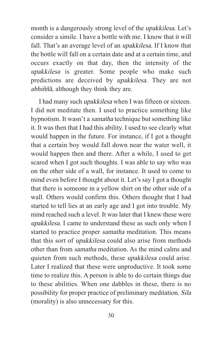month is a dangerously strong level of the upakkilesa. Let's consider a simile. I have a bottle with me. I know that it will fall. That's an average level of an *upakkilesa*. If I know that the bottle will fall on a certain date and at a certain time, and occurs exactly on that day, then the intensity of the upakkilesa is greater. Some people who make such predictions are deceived by upakkilesa. They are not abhiññā, although they think they are.

I had many such upakkilesa when I was fifteen or sixteen. I did not meditate then. I used to practice something like hypnotism. It wasn't a samatha technique but something like it. It was then that I had this ability. I used to see clearly what would happen in the future. For instance, if I got a thought that a certain boy would fall down near the water well, it would happen then and there. After a while, I used to get scared when I got such thoughts. I was able to say who was on the other side of a wall, for instance. It used to come to mind even before I thought about it. Let's say I got a thought that there is someone in a yellow shirt on the other side of a wall. Others would confirm this. Others thought that I had started to tell lies at an early age and I got into trouble. My mind reached such a level. It was later that I knew these were upakkilesa. I came to understand these as such only when I started to practice proper samatha meditation. This means that this sort of upakkilesa could also arise from methods other than from samatha meditation. As the mind calms and quieten from such methods, these upakkilesa could arise. Later I realized that these were unproductive. It took some time to realize this. A person is able to do certain things due to these abilities. When one dabbles in these, there is no possibility for proper practice of preliminary meditation. Sila (morality) is also unnecessary for this.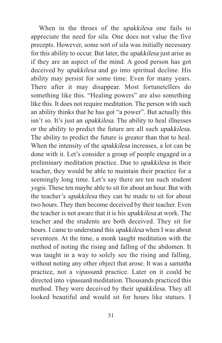When in the throes of the upakkilesa one fails to appreciate the need for sila. One does not value the five precepts. However, some sort of sila was initially necessary for this ability to occur. But later, the upakkilesa just arise as if they are an aspect of the mind. A good person has got deceived by upakkilesa and go into spiritual decline. His ability may persist for some time. Even for many years. There after it may disappear. Most fortunetellers do something like this. "Healing powers" are also something like this. It does not require meditation. The person with such an ability thinks that he has got "a power". But actually this isn't so. It's just an upakkilesa. The ability to heal illnesses or the ability to predict the future are all such upakkilesa. The ability to predict the future is greater than that to heal. When the intensity of the upakkilesa increases, a lot can be done with it. Let's consider a group of people engaged in a preliminary meditation practice. Due to upakkilesa in their teacher, they would be able to maintain their practice for a seemingly long time. Let's say there are ten such student yogis. These ten maybe able to sit for about an hour. But with the teacher's upakkilesa they can be made to sit for about two hours. They then become deceived by their teacher. Even the teacher is not aware that it is his upakkilesa at work. The teacher and the students are both deceived. They sit for hours. I came to understand this upakkilesa when I was about seventeen. At the time, a monk taught meditation with the method of noting the rising and falling of the abdomen. It was taught in a way to solely see the rising and falling, without noting any other object that arose. It was a *samatha* practice, not a vipassanā practice. Later on it could be directed into vipassanā meditation. Thousands practiced this method. They were deceived by their upakkilesa. They all looked beautiful and would sit for hours like statues. I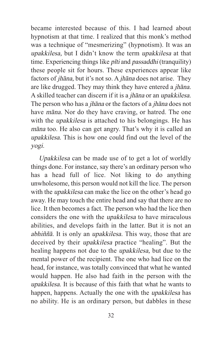became interested because of this. I had learned about hypnotism at that time. I realized that this monk's method was a technique of "mesmerizing" (hypnotism). It was an upakkilesa, but I didn't know the term upakkilesa at that time. Experiencing things like *pīti* and *passaddhi* (tranquility) these people sit for hours. These experiences appear like factors of jhāna, but it's not so. A jhāna does not arise. They are like drugged. They may think they have entered a jhāna. A skilled teacher can discern if it is a jhāna or an upakkilesa. The person who has a jhāna or the factors of a jhāna does not have māna. Nor do they have craving, or hatred. The one with the *upakkilesa* is attached to his belongings. He has māna too. He also can get angry. That's why it is called an upakkilesa. This is how one could find out the level of the yogi.

Upakkilesa can be made use of to get a lot of worldly things done. For instance, say there's an ordinary person who has a head full of lice. Not liking to do anything unwholesome, this person would not kill the lice. The person with the *upakkilesa* can make the lice on the other's head go away. He may touch the entire head and say that there are no lice. It then becomes a fact. The person who had the lice then considers the one with the upakkilesa to have miraculous abilities, and develops faith in the latter. But it is not an abhiññā. It is only an upakkilesa. This way, those that are deceived by their upakkilesa practice "healing". But the healing happens not due to the upakkilesa, but due to the mental power of the recipient. The one who had lice on the head, for instance, was totally convinced that what he wanted would happen. He also had faith in the person with the upakkilesa. It is because of this faith that what he wants to happen, happens. Actually the one with the upakkilesa has no ability. He is an ordinary person, but dabbles in these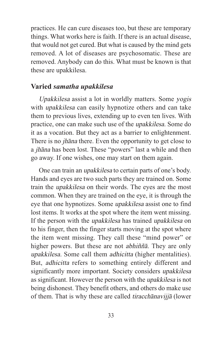practices. He can cure diseases too, but these are temporary things. What works here is faith. If there is an actual disease, that would not get cured. But what is caused by the mind gets removed. A lot of diseases are psychosomatic. These are removed. Anybody can do this. What must be known is that these are upakkilesa.

# **Varied** *samatha upakkilesa*

Upakkilesa assist a lot in worldly matters. Some yogis with upakkilesa can easily hypnotize others and can take them to previous lives, extending up to even ten lives. With practice, one can make such use of the upakkilesa. Some do it as a vocation. But they act as a barrier to enlightenment. There is no jhāna there. Even the opportunity to get close to a jhāna has been lost. These "powers" last a while and then go away. If one wishes, one may start on them again.

One can train an upakkilesa to certain parts of one's body. Hands and eyes are two such parts they are trained on. Some train the upakkilesa on their words. The eyes are the most common. When they are trained on the eye, it is through the eye that one hypnotizes. Some upakkilesa assist one to find lost items. It works at the spot where the item went missing. If the person with the upakkilesa has trained upakkilesa on to his finger, then the finger starts moving at the spot where the item went missing. They call these "mind power" or higher powers. But these are not *abhiññā*. They are only upakkilesa. Some call them adhicitta (higher mentalities). But, adhicitta refers to something entirely different and significantly more important. Society considers upakkilesa as significant. However the person with the upakkilesa is not being dishonest. They benefit others, and others do make use of them. That is why these are called tiracchānavijjā (lower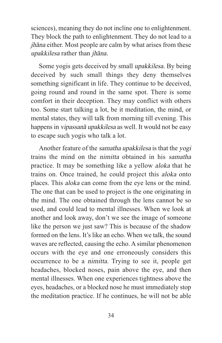sciences), meaning they do not incline one to enlightenment. They block the path to enlightenment. They do not lead to a jhāna either. Most people are calm by what arises from these upakkilesa rather than jhāna.

Some yogis gets deceived by small upakkilesa. By being deceived by such small things they deny themselves something significant in life. They continue to be deceived, going round and round in the same spot. There is some comfort in their deception. They may conflict with others too. Some start talking a lot, be it meditation, the mind, or mental states, they will talk from morning till evening. This happens in vipassanā upakkilesa as well. It would not be easy to escape such yogis who talk a lot.

Another feature of the samatha upakkilesa is that the yogi trains the mind on the nimitta obtained in his samatha practice. It may be something like a yellow aloka that he trains on. Once trained, he could project this aloka onto places. This aloka can come from the eye lens or the mind. The one that can be used to project is the one originating in the mind. The one obtained through the lens cannot be so used, and could lead to mental illnesses. When we look at another and look away, don't we see the image of someone like the person we just saw? This is because of the shadow formed on the lens. It's like an echo. When we talk, the sound waves are reflected, causing the echo. A similar phenomenon occurs with the eye and one erroneously considers this occurrence to be a nimitta. Trying to see it, people get headaches, blocked noses, pain above the eye, and then mental illnesses. When one experiences tightness above the eyes, headaches, or a blocked nose he must immediately stop the meditation practice. If he continues, he will not be able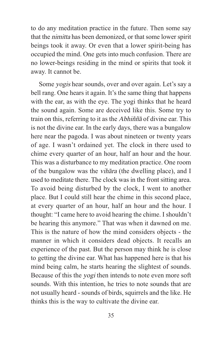to do any meditation practice in the future. Then some say that the nimitta has been demonized, or that some lower spirit beings took it away. Or even that a lower spirit-being has occupied the mind. One gets into much confusion. There are no lower-beings residing in the mind or spirits that took it away. It cannot be.

Some yogis hear sounds, over and over again. Let's say a bell rang. One hears it again. It's the same thing that happens with the ear, as with the eye. The yogi thinks that he heard the sound again. Some are deceived like this. Some try to train on this, referring to it as the Abhiññā of divine ear. This is not the divine ear. In the early days, there was a bungalow here near the pagoda. I was about nineteen or twenty years of age. I wasn't ordained yet. The clock in there used to chime every quarter of an hour, half an hour and the hour. This was a disturbance to my meditation practice. One room of the bungalow was the vihāra (the dwelling place), and I used to meditate there. The clock was in the front sitting area. To avoid being disturbed by the clock, I went to another place. But I could still hear the chime in this second place, at every quarter of an hour, half an hour and the hour. I thought: "I came here to avoid hearing the chime. I shouldn't be hearing this anymore." That was when it dawned on me. This is the nature of how the mind considers objects - the manner in which it considers dead objects. It recalls an experience of the past. But the person may think he is close to getting the divine ear. What has happened here is that his mind being calm, he starts hearing the slightest of sounds. Because of this the yogi then intends to note even more soft sounds. With this intention, he tries to note sounds that are not usually heard - sounds of birds, squirrels and the like. He thinks this is the way to cultivate the divine ear.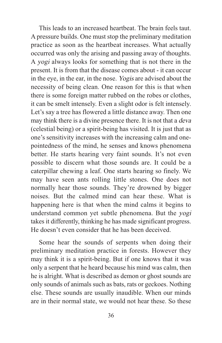This leads to an increased heartbeat. The brain feels taut. A pressure builds. One must stop the preliminary meditation practice as soon as the heartbeat increases. What actually occurred was only the arising and passing away of thoughts. A yogi always looks for something that is not there in the present. It is from that the disease comes about - it can occur in the eye, in the ear, in the nose. Yogis are advised about the necessity of being clean. One reason for this is that when there is some foreign matter rubbed on the robes or clothes, it can be smelt intensely. Even a slight odor is felt intensely. Let's say a tree has flowered a little distance away. Then one may think there is a divine presence there. It is not that a deva (celestial being) or a spirit-being has visited. It is just that as one's sensitivity increases with the increasing calm and onepointedness of the mind, he senses and knows phenomena better. He starts hearing very faint sounds. It's not even possible to discern what those sounds are. It could be a caterpillar chewing a leaf. One starts hearing so finely. We may have seen ants rolling little stones. One does not normally hear those sounds. They're drowned by bigger noises. But the calmed mind can hear these. What is happening here is that when the mind calms it begins to understand common yet subtle phenomena. But the yogi takes it differently, thinking he has made significant progress. He doesn't even consider that he has been deceived.

Some hear the sounds of serpents when doing their preliminary meditation practice in forests. However they may think it is a spirit-being. But if one knows that it was only a serpent that he heard because his mind was calm, then he is alright. What is described as demon or ghost sounds are only sounds of animals such as bats, rats or geckoes. Nothing else. These sounds are usually inaudible. When our minds are in their normal state, we would not hear these. So these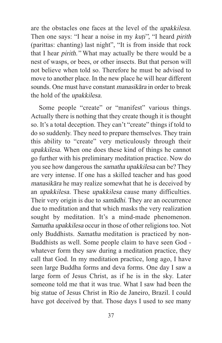are the obstacles one faces at the level of the upakkilesa. Then one says: "I hear a noise in my kuti", "I heard pirith (parittas: chanting) last night", "It is from inside that rock that I hear pirith." What may actually be there would be a nest of wasps, or bees, or other insects. But that person will not believe when told so. Therefore he must be advised to move to another place. In the new place he will hear different sounds. One must have constant manasikāra in order to break the hold of the upakkilesa.

Some people "create" or "manifest" various things. Actually there is nothing that they create though it is thought so. It's a total deception. They can't "create" things if told to do so suddenly. They need to prepare themselves. They train this ability to "create" very meticulously through their upakkilesa. When one does these kind of things he cannot go further with his preliminary meditation practice. Now do you see how dangerous the samatha upakkilesa can be? They are very intense. If one has a skilled teacher and has good manasikāra he may realize somewhat that he is deceived by an upakkilesa. These upakkilesa cause many difficulties. Their very origin is due to samādhi. They are an occurrence due to meditation and that which masks the very realization sought by meditation. It's a mind-made phenomenon. Samatha upakkilesa occur in those of other religions too. Not only Buddhists. Samatha meditation is practiced by non-Buddhists as well. Some people claim to have seen God whatever form they saw during a meditation practice, they call that God. In my meditation practice, long ago, I have seen large Buddha forms and deva forms. One day I saw a large form of Jesus Christ, as if he is in the sky. Later someone told me that it was true. What I saw had been the big statue of Jesus Christ in Rio de Janeiro, Brazil. I could have got deceived by that. Those days I used to see many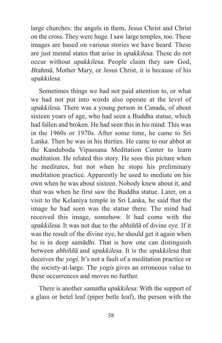large churches: the angels in them, Jesus Christ and Christ on the cross. They were huge. I saw large temples, too. These images are based on various stories we have heard. These are just mental states that arise in upakkilesa. These do not occur without upakkilesa. People claim they saw God, Brahmā, Mother Mary, or Jesus Christ, it is because of his upakkilesa.

Sometimes things we had not paid attention to, or what we had not put into words also operate at the level of upakkilesa. There was a young person in Canada, of about sixteen years of age, who had seen a Buddha statue, which had fallen and broken. He had seen this in his mind. This was in the 1960s or 1970s. After some time, he came to Sri Lanka. Then he was in his thirties. He came to our abbot at the Kanduboda Vipassana Meditation Center to learn meditation. He related this story. He sees this picture when he meditates, but not when he stops his preliminary meditation practice. Apparently he used to mediate on his own when he was about sixteen. Nobody knew about it, and that was when he first saw the Buddha statue. Later, on a visit to the Kelaniya temple in Sri Lanka, he said that the image he had seen was the statue there. The mind had received this image, somehow. It had come with the upakkilesa. It was not due to the abhiññā of divine eye. If it was the result of the divine eye, he should get it again when he is in deep samādhi. That is how one can distinguish between abhiññā and upakkilesa. It is the upakkilesa that deceives the yogi. It's not a fault of a meditation practice or the society-at-large. The yogis gives an erroneous value to these occurrences and moves no further.

There is another samatha upakkilesa: With the support of a glass or betel leaf (piper betle leaf), the person with the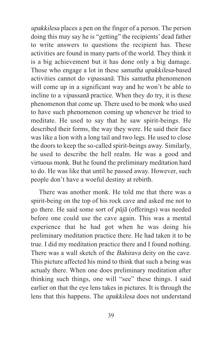upakkilesa places a pen on the finger of a person. The person doing this may say he is "getting" the recipients' dead father to write answers to questions the recipient has. These activities are found in many parts of the world. They think it is a big achievement but it has done only a big damage. Those who engage a lot in these samatha upakkilesa-based activities cannot do vipassanā. This samatha phenomenon will come up in a significant way and he won't be able to incline to a vipassanā practice. When they do try, it is these phenomenon that come up. There used to be monk who used to have such phenomenon coming up whenever he tried to meditate. He used to say that he saw spirit-beings. He described their forms, the way they were. He said their face was like a lion with a long tail and two legs. He used to close the doors to keep the so-called spirit-beings away. Similarly, he used to describe the hell realm. He was a good and virtuous monk. But he found the preliminary meditation hard to do. He was like that until he passed away. However, such people don't have a woeful destiny at rebirth.

There was another monk. He told me that there was a spirit-being on the top of his rock cave and asked me not to go there. He said some sort of  $p\bar{u}j\bar{a}$  (offerings) was needed before one could use the cave again. This was a mental experience that he had got when he was doing his preliminary meditation practice there. He had taken it to be true. I did my meditation practice there and I found nothing. There was a wall sketch of the Bahirava deity on the cave. This picture affected his mind to think that such a being was actualy there. When one does preliminary meditation after thinking such things, one will "see" these things. I said earlier on that the eye lens takes in pictures. It is through the lens that this happens. The upakkilesa does not understand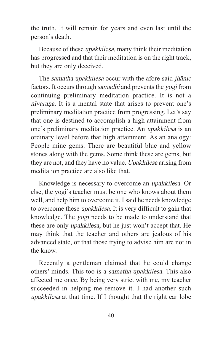the truth. It will remain for years and even last until the person's death.

Because of these upakkilesa, many think their meditation has progressed and that their meditation is on the right track, but they are only deceived.

The samatha upakkilesa occur with the afore-said jhānic factors. It occurs through samādhi and prevents the yogi from continuing preliminary meditation practice. It is not a nīvaraṇa. It is a mental state that arises to prevent one's preliminary meditation practice from progressing. Let's say that one is destined to accomplish a high attainment from one's preliminary meditation practice. An upakkilesa is an ordinary level before that high attainment. As an analogy: People mine gems. There are beautiful blue and yellow stones along with the gems. Some think these are gems, but they are not, and they have no value. Upakkilesa arising from meditation practice are also like that.

Knowledge is necessary to overcome an upakkilesa. Or else, the yogi's teacher must be one who knows about them well, and help him to overcome it. I said he needs knowledge to overcome these upakkilesa. It is very difficult to gain that knowledge. The yogi needs to be made to understand that these are only upakkilesa, but he just won't accept that. He may think that the teacher and others are jealous of his advanced state, or that those trying to advise him are not in the know.

Recently a gentleman claimed that he could change others' minds. This too is a samatha upakkilesa. This also affected me once. By being very strict with me, my teacher succeeded in helping me remove it. I had another such upakkilesa at that time. If I thought that the right ear lobe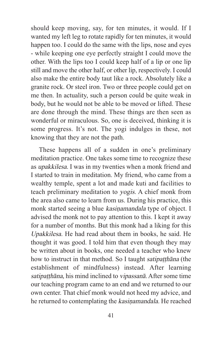should keep moving, say, for ten minutes, it would. If I wanted my left leg to rotate rapidly for ten minutes, it would happen too. I could do the same with the lips, nose and eyes - while keeping one eye perfectly straight I could move the other. With the lips too I could keep half of a lip or one lip still and move the other half, or other lip, respectively. I could also make the entire body taut like a rock. Absolutely like a granite rock. Or steel iron. Two or three people could get on me then. In actuality, such a person could be quite weak in body, but he would not be able to be moved or lifted. These are done through the mind. These things are then seen as wonderful or miraculous. So, one is deceived, thinking it is some progress. It's not. The yogi indulges in these, not knowing that they are not the path.

These happens all of a sudden in one's preliminary meditation practice. One takes some time to recognize these as upakkilesa. I was in my twenties when a monk friend and I started to train in meditation. My friend, who came from a wealthy temple, spent a lot and made kuti and facilities to teach preliminary meditation to yogis. A chief monk from the area also came to learn from us. During his practice, this monk started seeing a blue kasiṇamandala type of object. I advised the monk not to pay attention to this. I kept it away for a number of months. But this monk had a liking for this Upakkilesa. He had read about them in books, he said. He thought it was good. I told him that even though they may be written about in books, one needed a teacher who knew how to instruct in that method. So I taught *satipatthana* (the establishment of mindfulness) instead. After learning satipaṭṭhāna, his mind inclined to vipassanā. After some time our teaching program came to an end and we returned to our own center. That chief monk would not heed my advice, and he returned to contemplating the kasinamandala. He reached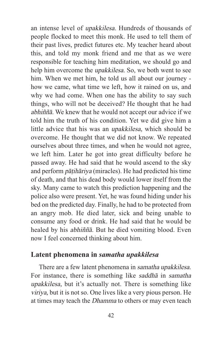an intense level of upakkilesa. Hundreds of thousands of people flocked to meet this monk. He used to tell them of their past lives, predict futures etc. My teacher heard about this, and told my monk friend and me that as we were responsible for teaching him meditation, we should go and help him overcome the upakkilesa. So, we both went to see him. When we met him, he told us all about our journey how we came, what time we left, how it rained on us, and why we had come. When one has the ability to say such things, who will not be deceived? He thought that he had abhiññā. We knew that he would not accept our advice if we told him the truth of his condition. Yet we did give him a little advice that his was an upakkilesa, which should be overcome. He thought that we did not know. We repeated ourselves about three times, and when he would not agree, we left him. Later he got into great difficulty before he passed away. He had said that he would ascend to the sky and perform pāṭihāriya (miracles). He had predicted his time of death, and that his dead body would lower itself from the sky. Many came to watch this prediction happening and the police also were present. Yet, he was found hiding under his bed on the predicted day. Finally, he had to be protected from an angry mob. He died later, sick and being unable to consume any food or drink. He had said that he would be healed by his abhiññā. But he died vomiting blood. Even now I feel concerned thinking about him.

#### **Latent phenomena in** *samatha upakkilesa*

There are a few latent phenomena in samatha upakkilesa. For instance, there is something like saddhā in samatha upakkilesa, but it's actually not. There is something like viriya, but it is not so. One lives like a very pious person. He at times may teach the Dhamma to others or may even teach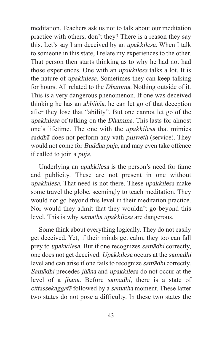meditation. Teachers ask us not to talk about our meditation practice with others, don't they? There is a reason they say this. Let's say I am deceived by an upakkilesa. When I talk to someone in this state, I relate my experiences to the other. That person then starts thinking as to why he had not had those experiences. One with an upakkilesa talks a lot. It is the nature of upakkilesa. Sometimes they can keep talking for hours. All related to the Dhamma. Nothing outside of it. This is a very dangerous phenomenon. If one was deceived thinking he has an abhiññā, he can let go of that deception after they lose that "ability". But one cannot let go of the upakkilesa of talking on the Dhamma. This lasts for almost one's lifetime. The one with the upakkilesa that mimics saddhā does not perform any vath *piliweth* (service). They would not come for Buddha puja, and may even take offence if called to join a puja.

Underlying an upakkilesa is the person's need for fame and publicity. These are not present in one without upakkilesa. That need is not there. These upakkilesa make some travel the globe, seemingly to teach meditation. They would not go beyond this level in their meditation practice. Nor would they admit that they wouldn't go beyond this level. This is why samatha upakkilesa are dangerous.

Some think about everything logically. They do not easily get deceived. Yet, if their minds get calm, they too can fall prey to upakkilesa. But if one recognizes samādhi correctly, one does not get deceived. Upakkilesa occurs at the samādhi level and can arise if one fails to recognize samādhi correctly. Samādhi precedes jhāna and upakkilesa do not occur at the level of a jhāna. Before samādhi, there is a state of cittassekaggatā followed by a samatha moment. These latter two states do not pose a difficulty. In these two states the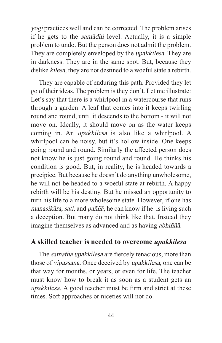yogi practices well and can be corrected. The problem arises if he gets to the samādhi level. Actually, it is a simple problem to undo. But the person does not admit the problem. They are completely enveloped by the upakkilesa. They are in darkness. They are in the same spot. But, because they dislike kilesa, they are not destined to a woeful state a rebirth.

They are capable of enduring this path. Provided they let go of their ideas. The problem is they don't. Let me illustrate: Let's say that there is a whirlpool in a watercourse that runs through a garden. A leaf that comes into it keeps twirling round and round, until it descends to the bottom - it will not move on. Ideally, it should move on as the water keeps coming in. An upakkilesa is also like a whirlpool. A whirlpool can be noisy, but it's hollow inside. One keeps going round and round. Similarly the affected person does not know he is just going round and round. He thinks his condition is good. But, in reality, he is headed towards a precipice. But because he doesn't do anything unwholesome, he will not be headed to a woeful state at rebirth. A happy rebirth will be his destiny. But he missed an opportunity to turn his life to a more wholesome state. However, if one has manasikāra, sati, and paññā, he can know if he is living such a deception. But many do not think like that. Instead they imagine themselves as advanced and as having abhiññā.

#### **A skilled teacher is needed to overcome** *upakkilesa*

The samatha upakkilesa are fiercely tenacious, more than those of vipassanā. Once deceived by upakkilesa, one can be that way for months, or years, or even for life. The teacher must know how to break it as soon as a student gets an upakkilesa. A good teacher must be firm and strict at these times. Soft approaches or niceties will not do.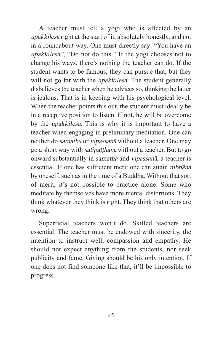A teacher must tell a yogi who is affected by an upakkilesa right at the start of it, absolutely honestly, and not in a roundabout way. One must directly say: "You have an upakkilesa", "Do not do this." If the yogi chooses not to change his ways, there's nothing the teacher can do. If the student wants to be famous, they can pursue that, but they will not go far with the *upakkilesa*. The student generally disbelieves the teacher when he advices so, thinking the latter is jealous. That is in keeping with his psychological level. When the teacher points this out, the student must ideally be in a receptive position to listen. If not, he will be overcome by the upakkilesa. This is why it is important to have a teacher when engaging in preliminary meditation. One can neither do samatha or vipassanā without a teacher. One may go a short way with satipaṭṭhāna without a teacher. But to go onward substantially in samatha and vipassanā, a teacher is essential. If one has sufficient merit one can attain nibbāna by oneself, such as in the time of a Buddha. Without that sort of merit, it's not possible to practice alone. Some who meditate by themselves have more mental distortions. They think whatever they think is right. They think that others are wrong.

Superficial teachers won't do. Skilled teachers are essential. The teacher must be endowed with sincerity, the intention to instruct well, compassion and empathy. He should not expect anything from the students, nor seek publicity and fame. Giving should be his only intention. If one does not find someone like that, it'll be impossible to progress.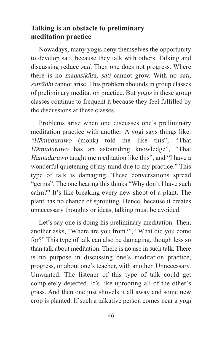# **Talking is an obstacle to preliminary meditation practice**

Nowadays, many yogis deny themselves the opportunity to develop sati, because they talk with others. Talking and discussing reduce *sati*. Then one does not progress. Where there is no manasikāra, sati cannot grow. With no sati, samādhi cannot arise. This problem abounds in group classes of preliminary meditation practice. But yogis in these group classes continue to frequent it because they feel fulfilled by the discussions at these classes.

Problems arise when one discusses one's preliminary meditation practice with another. A yogi says things like: "Hāmuduruwo (monk) told me like this", "That Hāmuduruwo has an astounding knowledge", "That Hāmuduruwo taught me meditation like this", and "I have a wonderful quietening of my mind due to my practice." This type of talk is damaging. These conversations spread "germs". The one hearing this thinks "Why don't I have such calm?" It's like breaking every new shoot of a plant. The plant has no chance of sprouting. Hence, because it creates unnecessary thoughts or ideas, talking must be avoided.

Let's say one is doing his preliminary meditation. Then, another asks, "Where are you from?", "What did you come for?" This type of talk can also be damaging, though less so than talk about meditation. There is no use in such talk. There is no purpose in discussing one's meditation practice, progress, or about one's teacher, with another. Unnecessary. Unwanted. The listener of this type of talk could get completely dejected. It's like uprooting all of the other's grass. And then one just shovels it all away and some new crop is planted. If such a talkative person comes near a yogi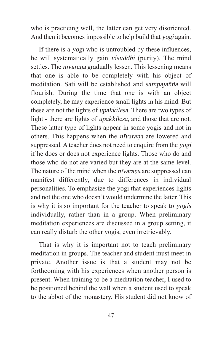who is practicing well, the latter can get very disoriented. And then it becomes impossible to help build that yogi again.

If there is a yogi who is untroubled by these influences, he will systematically gain visuddhi (purity). The mind settles. The *nīvarana* gradually lessen. This lessening means that one is able to be completely with his object of meditation. Sati will be established and sampajañña will flourish. During the time that one is with an object completely, he may experience small lights in his mind. But these are not the lights of upakkilesa. There are two types of light - there are lights of upakkilesa, and those that are not. These latter type of lights appear in some yogis and not in others. This happens when the *nīvaraṇa* are lowered and suppressed. A teacher does not need to enquire from the yogi if he does or does not experience lights. Those who do and those who do not are varied but they are at the same level. The nature of the mind when the *nīvaraṇa* are suppressed can manifest differently, due to differences in individual personalities. To emphasize the yogi that experiences lights and not the one who doesn't would undermine the latter. This is why it is so important for the teacher to speak to yogis individually, rather than in a group. When preliminary meditation experiences are discussed in a group setting, it can really disturb the other yogis, even irretrievably.

That is why it is important not to teach preliminary meditation in groups. The teacher and student must meet in private. Another issue is that a student may not be forthcoming with his experiences when another person is present. When training to be a meditation teacher, I used to be positioned behind the wall when a student used to speak to the abbot of the monastery. His student did not know of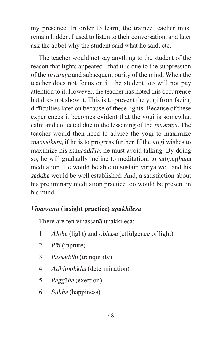my presence. In order to learn, the trainee teacher must remain hidden. I used to listen to their conversation, and later ask the abbot why the student said what he said, etc.

The teacher would not say anything to the student of the reason that lights appeared - that it is due to the suppression of the nīvaraṇa and subsequent purity of the mind. When the teacher does not focus on it, the student too will not pay attention to it. However, the teacher has noted this occurrence but does not show it. This is to prevent the yogi from facing difficulties later on because of these lights. Because of these experiences it becomes evident that the yogi is somewhat calm and collected due to the lessening of the *nīvarana*. The teacher would then need to advice the yogi to maximize manasikāra, if he is to progress further. If the yogi wishes to maximize his manasikāra, he must avoid talking. By doing so, he will gradually incline to meditation, to *satipatthana* meditation. He would be able to sustain viriya well and his saddhā would be well established. And, a satisfaction about his preliminary meditation practice too would be present in his mind.

# *Vipassanā* **(insight practice)** *upakkilesa*

There are ten vipassanā upakkilesa:

- 1. Aloka (light) and obhāsa (effulgence of light)
- 2. Pīti (rapture)
- 3. Passaddhi (tranquility)
- 4. Adhimokkha (determination)
- 5. Paggāha (exertion)
- 6. Sukha (happiness)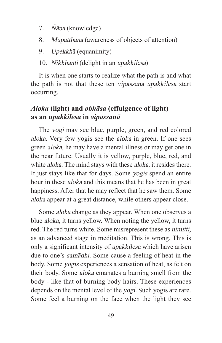- 7. Ñāṇa (knowledge)
- 8. Mupatthāna (awareness of objects of attention)
- 9. Upekkhā (equanimity)
- 10. Nikkhanti (delight in an upakkilesa)

It is when one starts to realize what the path is and what the path is not that these ten vipassanā upakkilesa start occurring.

# *Aloka* **(light) and** *obhāsa* **(effulgence of light) as an** *upakkilesa* **in** *vipassanā*

The yogi may see blue, purple, green, and red colored aloka. Very few yogis see the aloka in green. If one sees green aloka, he may have a mental illness or may get one in the near future. Usually it is yellow, purple, blue, red, and white *aloka*. The mind stays with these *aloka*, it resides there. It just stays like that for days. Some yogis spend an entire hour in these aloka and this means that he has been in great happiness. After that he may reflect that he saw them. Some aloka appear at a great distance, while others appear close.

Some aloka change as they appear. When one observes a blue aloka, it turns yellow. When noting the yellow, it turns red. The red turns white. Some misrepresent these as nimitti, as an advanced stage in meditation. This is wrong. This is only a significant intensity of upakkilesa which have arisen due to one's samādhi. Some cause a feeling of heat in the body. Some yogis experiences a sensation of heat, as felt on their body. Some aloka emanates a burning smell from the body - like that of burning body hairs. These experiences depends on the mental level of the yogi. Such yogis are rare. Some feel a burning on the face when the light they see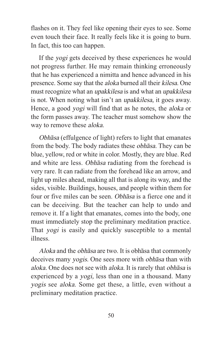flashes on it. They feel like opening their eyes to see. Some even touch their face. It really feels like it is going to burn. In fact, this too can happen.

If the yogi gets deceived by these experiences he would not progress further. He may remain thinking erroneously that he has experienced a nimitta and hence advanced in his presence. Some say that the aloka burned all their kilesa. One must recognize what an upakkilesa is and what an upakkilesa is not. When noting what isn't an upakkilesa, it goes away. Hence, a good yogi will find that as he notes, the aloka or the form passes away. The teacher must somehow show the way to remove these aloka.

Obhāsa (effulgence of light) refers to light that emanates from the body. The body radiates these obhāsa. They can be blue, yellow, red or white in color. Mostly, they are blue. Red and white are less. Obhāsa radiating from the forehead is very rare. It can radiate from the forehead like an arrow, and light up miles ahead, making all that is along its way, and the sides, visible. Buildings, houses, and people within them for four or five miles can be seen. Obhāsa is a fierce one and it can be deceiving. But the teacher can help to undo and remove it. If a light that emanates, comes into the body, one must immediately stop the preliminary meditation practice. That *yogi* is easily and quickly susceptible to a mental illness.

Aloka and the obhāsa are two. It is obhāsa that commonly deceives many yogis. One sees more with obhāsa than with aloka. One does not see with aloka. It is rarely that obhāsa is experienced by a yogi, less than one in a thousand. Many yogis see aloka. Some get these, a little, even without a preliminary meditation practice.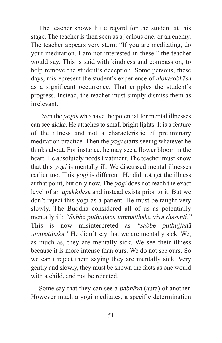The teacher shows little regard for the student at this stage. The teacher is then seen as a jealous one, or an enemy. The teacher appears very stern: "If you are meditating, do your meditation. I am not interested in these," the teacher would say. This is said with kindness and compassion, to help remove the student's deception. Some persons, these days, misrepresent the student's experience of aloka/obhāsa as a significant occurrence. That cripples the student's progress. Instead, the teacher must simply dismiss them as irrelevant.

Even the yogis who have the potential for mental illnesses can see aloka. He attaches to small bright lights. It is a feature of the illness and not a characteristic of preliminary meditation practice. Then the yogi starts seeing whatever he thinks about. For instance, he may see a flower bloom in the heart. He absolutely needs treatment. The teacher must know that this yogi is mentally ill. We discussed mental illnesses earlier too. This *yogi* is different. He did not get the illness at that point, but only now. The yogi does not reach the exact level of an upakkilesa and instead exists prior to it. But we don't reject this yogi as a patient. He must be taught very slowly. The Buddha considered all of us as potentially mentally ill: "Sabbe puthujjanā ummatthakā viya dissanti." This is now misinterpreted as "sabbe puthujjanā" ummatthakā." He didn't say that we are mentally sick. We, as much as, they are mentally sick. We see their illness because it is more intense than ours. We do not see ours. So we can't reject them saying they are mentally sick. Very gently and slowly, they must be shown the facts as one would with a child, and not be rejected.

Some say that they can see a pabhāva (aura) of another. However much a yogi meditates, a specific determination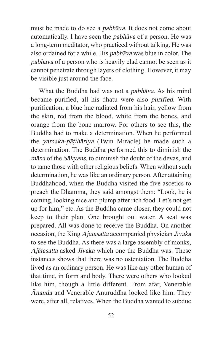must be made to do see a pabhāva. It does not come about automatically. I have seen the pabhāva of a person. He was a long-term meditator, who practiced without talking. He was also ordained for a while. His pabhāva was blue in color. The pabhāva of a person who is heavily clad cannot be seen as it cannot penetrate through layers of clothing. However, it may be visible just around the face.

What the Buddha had was not a pabhāva. As his mind became purified, all his dhatu were also purified. With purification, a blue hue radiated from his hair, yellow from the skin, red from the blood, white from the bones, and orange from the bone marrow. For others to see this, the Buddha had to make a determination. When he performed the yamaka-pāṭihāriya (Twin Miracle) he made such a determination. The Buddha performed this to diminish the māna of the Sākyans, to diminish the doubt of the devas, and to tame those with other religious beliefs. When without such determination, he was like an ordinary person. After attaining Buddhahood, when the Buddha visited the five ascetics to preach the Dhamma, they said amongst them: "Look, he is coming, looking nice and plump after rich food. Let's not get up for him," etc. As the Buddha came closer, they could not keep to their plan. One brought out water. A seat was prepared. All was done to receive the Buddha. On another occasion, the King Ajātasatta accompanied physician Jīvaka to see the Buddha. As there was a large assembly of monks, Ajātasatta asked Jīvaka which one the Buddha was. These instances shows that there was no ostentation. The Buddha lived as an ordinary person. He was like any other human of that time, in form and body. There were others who looked like him, though a little different. From afar, Venerable Ānanda and Venerable Anuruddha looked like him. They were, after all, relatives. When the Buddha wanted to subdue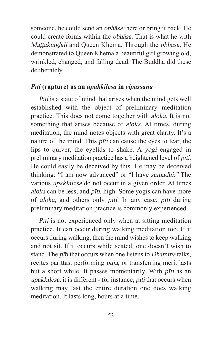someone, he could send an obhāsa there or bring it back. He could create forms within the obhāsa. That is what he with Mattakundali and Queen Khema. Through the obhāsa, He demonstrated to Queen Khema a beautiful girl growing old, wrinkled, changed, and falling dead. The Buddha did these deliberately.

#### *Pīti* **(rapture) as an** *upakkilesa* **in** *vipassanā*

Pīti is a state of mind that arises when the mind gets well established with the object of preliminary meditation practice. This does not come together with aloka. It is not something that arises because of *aloka*. At times, during meditation, the mind notes objects with great clarity. It's a nature of the mind. This *pīti* can cause the eyes to tear, the lips to quiver, the eyelids to shake. A yogi engaged in preliminary meditation practice has a heightened level of pīti. He could easily be deceived by this. He may be deceived thinking: "I am now advanced" or "I have samādhi." The various upakkilesa do not occur in a given order. At times aloka can be less, and *pīti*, high. Some yogis can have more of aloka, and others only pīti. In any case, pīti during preliminary meditation practice is commonly experienced.

Pīti is not experienced only when at sitting meditation practice. It can occur during walking meditation too. If it occurs during walking, then the mind wishes to keep walking and not sit. If it occurs while seated, one doesn't wish to stand. The pīti that occurs when one listens to Dhamma talks, recites parittas, performing puja, or transferring merit lasts but a short while. It passes momentarily. With pīti as an upakkilesa, it is different - for instance, *pīti* that occurs when walking may last the entire duration one does walking meditation. It lasts long, hours at a time.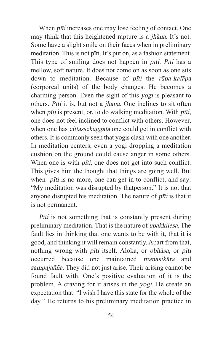When *pīti* increases one may lose feeling of contact. One may think that this heightened rapture is a jhāna. It's not. Some have a slight smile on their faces when in preliminary meditation. This is not pīti. It's put on, as a fashion statement. This type of smiling does not happen in pīti. Pīti has a mellow, soft nature. It does not come on as soon as one sits down to meditation. Because of pīti the rūpa-kalāpa (corporeal units) of the body changes. He becomes a charming person. Even the sight of this yogi is pleasant to others. Pīti it is, but not a jhāna. One inclines to sit often when *pīti* is present, or, to do walking meditation. With *pīti*, one does not feel inclined to conflict with others. However, when one has cittassekaggatā one could get in conflict with others. It is commonly seen that yogis clash with one another. In meditation centers, even a yogi dropping a meditation cushion on the ground could cause anger in some others. When one is with *pīti*, one does not get into such conflict. This gives him the thought that things are going well. But when *pīti* is no more, one can get in to conflict, and say: "My meditation was disrupted by thatperson." It is not that anyone disrupted his meditation. The nature of pīti is that it is not permanent.

Pīti is not something that is constantly present during preliminary meditation. That is the nature of upakkilesa. The fault lies in thinking that one wants to be with it, that it is good, and thinking it will remain constantly. Apart from that, nothing wrong with pīti itself. Aloka, or obhāsa, or pīti occurred because one maintained manasikāra and sampajañña. They did not just arise. Their arising cannot be found fault with. One's positive evaluation of it is the problem. A craving for it arises in the yogi. He create an expectation that: "I wish I have this state for the whole of the day." He returns to his preliminary meditation practice in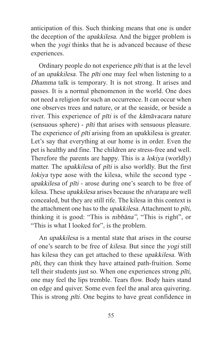anticipation of this. Such thinking means that one is under the deception of the upakkilesa. And the bigger problem is when the *yogi* thinks that he is advanced because of these experiences.

Ordinary people do not experience pīti that is at the level of an upakkilesa. The pīti one may feel when listening to a Dhamma talk is temporary. It is not strong. It arises and passes. It is a normal phenomenon in the world. One does not need a religion for such an occurrence. It can occur when one observes trees and nature, or at the seaside, or beside a river. This experience of pīti is of the kāmāvacara nature (sensuous sphere) - pīti that arises with sensuous pleasure. The experience of *pīti* arising from an upakkilesa is greater. Let's say that everything at our home is in order. Even the pet is healthy and fine. The children are stress-free and well. Therefore the parents are happy. This is a lokiya (worldly) matter. The *upakkilesa* of *pīti* is also worldly. But the first lokiya type aose with the kilesa, while the second type upakkilesa of pīti - arose during one's search to be free of kilesa. These *upakkilesa* arises because the *nīvaraṇa* are well concealed, but they are still rife. The kilesa in this context is the attachment one has to the upakkilesa. Attachment to pīti, thinking it is good: "This is nibbāna", "This is right", or "This is what I looked for", is the problem.

An upakkilesa is a mental state that arises in the course of one's search to be free of kilesa. But since the yogi still has kilesa they can get attached to these upakkilesa. With pīti, they can think they have attained path-fruition. Some tell their students just so. When one experiences strong pīti, one may feel the lips tremble. Tears flow. Body hairs stand on edge and quiver. Some even feel the anal area quivering. This is strong *pīti*. One begins to have great confidence in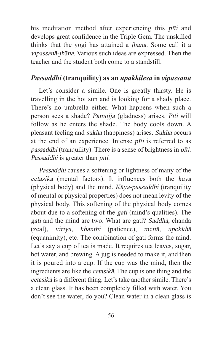his meditation method after experiencing this pīti and develops great confidence in the Triple Gem. The unskilled thinks that the yogi has attained a jhāna. Some call it a vipassanā-jhāna. Various such ideas are expressed. Then the teacher and the student both come to a standstill.

# *Passaddhi* **(tranquility) as an** *upakkilesa* **in** *vipassanā*

Let's consider a simile. One is greatly thirsty. He is travelling in the hot sun and is looking for a shady place. There's no umbrella either. What happens when such a person sees a shade? Pāmojja (gladness) arises. Pīti will follow as he enters the shade. The body cools down. A pleasant feeling and sukha (happiness) arises. Sukha occurs at the end of an experience. Intense pīti is referred to as passaddhi (tranquility). There is a sense of brightness in pīti. Passaddhi is greater than pīti.

Passaddhi causes a softening or lightness of many of the cetasikā (mental factors). It influences both the kāya (physical body) and the mind.  $K\bar{a}ya-passaddhi$  (tranquility of mental or physical properties) does not mean levity of the physical body. This softening of the physical body comes about due to a softening of the gati (mind's qualities). The gati and the mind are two. What are gati? Saddhā, chanda (zeal), viriya, khanthi (patience), mettā, upekkhā (equanimity), etc. The combination of gati forms the mind. Let's say a cup of tea is made. It requires tea leaves, sugar, hot water, and brewing. A jug is needed to make it, and then it is poured into a cup. If the cup was the mind, then the ingredients are like the cetasikā. The cup is one thing and the cetasikā is a different thing. Let's take another simile. There's a clean glass. It has been completely filled with water. You don't see the water, do you? Clean water in a clean glass is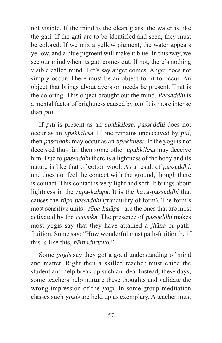not visible. If the mind is the clean glass, the water is like the gati. If the gati are to be identified and seen, they must be colored. If we mix a yellow pigment, the water appears yellow, and a blue pigment will make it blue. In this way, we see our mind when its gati comes out. If not, there's nothing visible called mind. Let's say anger comes. Anger does not simply occur. There must be an object for it to occur. An object that brings about aversion needs be present. That is the coloring. This object brought out the mind. Passaddhi is a mental factor of brightness caused by pīti. It is more intense than pīti.

If pīti is present as an upakkilesa, passaddhi does not occur as an upakkilesa. If one remains undeceived by pīti, then passaddhi may occur as an upakkilesa. If the yogi is not deceived thus far, then some other upakkilesa may deceive him. Due to *passaddhi* there is a lightness of the body and its nature is like that of cotton wool. As a result of passaddhi, one does not feel the contact with the ground, though there is contact. This contact is very light and soft. It brings about lightness in the rūpa-kalāpa. It is the kāya-passaddhi that causes the rūpa-passaddhi (tranquility of form). The form's most sensitive units - rūpa-kalāpa - are the ones that are most activated by the cetasikā. The presence of passaddhi makes most yogis say that they have attained a jhāna or pathfruition. Some say: "How wonderful must path-fruition be if this is like this, hāmuduruwo."

Some yogis say they got a good understanding of mind and matter. Right then a skilled teacher must chide the student and help break up such an idea. Instead, these days, some teachers help nurture these thoughts and validate the wrong impression of the yogi. In some group meditation classes such yogis are held up as exemplary. A teacher must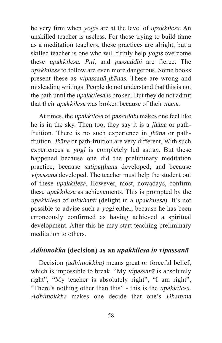be very firm when yogis are at the level of upakkilesa. An unskilled teacher is useless. For those trying to build fame as a meditation teachers, these practices are alright, but a skilled teacher is one who will firmly help yogis overcome these upakkilesa. Pīti, and passaddhi are fierce. The upakkilesa to follow are even more dangerous. Some books present these as vipassanā-jhānas. These are wrong and misleading writings. People do not understand that this is not the path until the upakkilesa is broken. But they do not admit that their upakkilesa was broken because of their māna.

At times, the upakkilesa of passaddhi makes one feel like he is in the sky. Then too, they say it is a jhāna or pathfruition. There is no such experience in jhāna or pathfruition. Jhāna or path-fruition are very different. With such experiences a yogi is completely led astray. But these happened because one did the preliminary meditation practice, because *satipaṭṭhāna* developed, and because vipassanā developed. The teacher must help the student out of these upakkilesa. However, most, nowadays, confirm these upakkilesa as achievements. This is prompted by the upakkilesa of nikkhanti (delight in a upakkilesa). It's not possible to advise such a yogi either, because he has been erroneously confirmed as having achieved a spiritual development. After this he may start teaching preliminary meditation to others.

# *Adhimokka* **(decision) as an** *upakkilesa in vipassanā*

Decision (adhimokkha) means great or forceful belief, which is impossible to break. "My vipassana is absolutely right", "My teacher is absolutely right", "I am right", "There's nothing other than this" - this is the upakkilesa. Adhimokkha makes one decide that one's Dhamma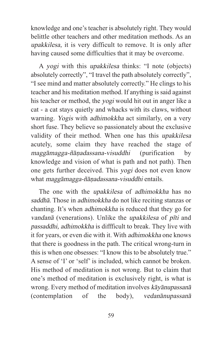knowledge and one's teacher is absolutely right. They would belittle other teachers and other meditation methods. As an upakkilesa, it is very difficult to remove. It is only after having caused some difficulties that it may be overcome.

A yogi with this upakkilesa thinks: "I note (objects) absolutely correctly", "I travel the path absolutely correctly", "I see mind and matter absolutely correctly." He clings to his teacher and his meditation method. If anything is said against his teacher or method, the yogi would hit out in anger like a cat - a cat stays quietly and whacks with its claws, without warning. Yogis with adhimokkha act similarly, on a very short fuse. They believe so passionately about the exclusive validity of their method. When one has this upakkilesa acutely, some claim they have reached the stage of maggāmagga-ñāṇadassana-visuddhi (purification by knowledge and vision of what is path and not path). Then one gets further deceived. This yogi does not even know what maggāmagga-ñāṇadassana-visuddhi entails.

The one with the upakkilesa of adhimokkha has no saddhā. Those in adhimokkha do not like reciting stanzas or chanting. It's when adhimokkha is reduced that they go for vandanā (venerations). Unlike the upakkilesa of pīti and passaddhi, adhimokkha is diffficult to break. They live with it for years, or even die with it. With adhimokkha one knows that there is goodness in the path. The critical wrong-turn in this is when one obsesses: "I know this to be absolutely true." A sense of 'I' or 'self' is included, which cannot be broken. His method of meditation is not wrong. But to claim that one's method of meditation is exclusively right, is what is wrong. Every method of meditation involves kāyānupassanā (contemplation of the body), vedanānupassanā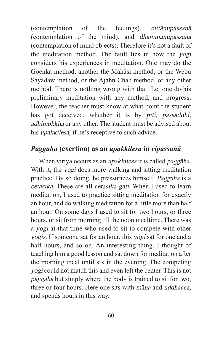(contemplation of the feelings), cittānupassanā (contemplation of the mind), and dhammānupassanā (contemplation of mind objects). Therefore it's not a fault of the meditation method. The fault lies in how the yogi considers his experiences in meditation. One may do the Goenka method, another the Mahāsi method, or the Webu Sayadaw method, or the Ajahn Chah method, or any other method. There is nothing wrong with that. Let one do his preliminary meditation with any method, and progress. However, the teacher must know at what point the student has got deceived, whether it is by *pīti*, *passaddhi*, adhimokkha or any other. The student must be advised about his upakkilesa, if he's receptive to such advice.

# *Paggaha* **(exertion) as an** *upakkilesa* **in** *vipassanā*

When viriya occurs as an upakkilesa it is called paggāha. With it, the *yogi* does more walking and sitting meditation practice. By so doing, he pressurizes himself. Paggaha is a cetasika. These are all cetasika gati. When I used to learn meditation, I used to practice sitting meditation for exactly an hour, and do walking meditation for a little more than half an hour. On some days I used to sit for two hours, or three hours, or sit from morning till the noon mealtime. There was a yogi at that time who used to sit to compete with other yogis. If someone sat for an hour, this yogi sat for one and a half hours, and so on. An interesting thing. I thought of teaching him a good lesson and sat down for meditation after the morning meal until six in the evening. The competing yogi could not match this and even left the center. This is not paggāha but simply where the body is trained to sit for two, three or four hours. Here one sits with māna and uddhacca, and spends hours in this way.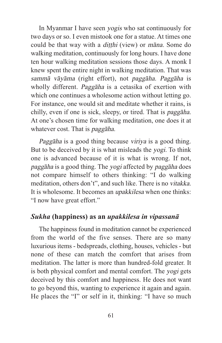In Myanmar I have seen yogis who sat continuously for two days or so. I even mistook one for a statue. At times one could be that way with a *ditthi* (view) or *māna*. Some do walking meditation, continuously for long hours. I have done ten hour walking meditation sessions those days. A monk I knew spent the entire night in walking meditation. That was sammā vāyāma (right effort), not paggāha. Paggāha is wholly different. Paggāha is a cetasika of exertion with which one continues a wholesome action without letting go. For instance, one would sit and meditate whether it rains, is chilly, even if one is sick, sleepy, or tired. That is paggāha. At one's chosen time for walking meditation, one does it at whatever cost. That is *paggāha*.

Paggāha is a good thing because viriya is a good thing. But to be deceived by it is what misleads the yogi. To think one is advanced because of it is what is wrong. If not, paggāha is a good thing. The yogi affected by paggāha does not compare himself to others thinking: "I do walking meditation, others don't", and such like. There is no vitakka. It is wholesome. It becomes an upakkilesa when one thinks: "I now have great effort."

## *Sukha* **(happiness) as an** *upakkilesa in vipassanā*

The happiness found in meditation cannot be experienced from the world of the five senses. There are so many luxurious items - bedspreads, clothing, houses, vehicles - but none of these can match the comfort that arises from meditation. The latter is more than hundred-fold greater. It is both physical comfort and mental comfort. The yogi gets deceived by this comfort and happiness. He does not want to go beyond this, wanting to experience it again and again. He places the "I" or self in it, thinking: "I have so much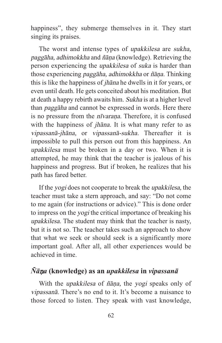happiness", they submerge themselves in it. They start singing its praises.

The worst and intense types of upakkilesa are sukha, paggāha, adhimokkha and ñāṇa (knowledge). Retrieving the person experiencing the upakkilesa of suka is harder than those experiencing paggāha, adhimokkha or ñāṇa. Thinking this is like the happiness of jhāna he dwells in it for years, or even until death. He gets conceited about his meditation. But at death a happy rebirth awaits him. Sukha is at a higher level than paggāha and cannot be expressed in words. Here there is no pressure from the *nīvaraṇa*. Therefore, it is confused with the happiness of *jhāna*. It is what many refer to as vipassanā-jhāna, or vipassanā-sukha. Thereafter it is impossible to pull this person out from this happiness. An upakkilesa must be broken in a day or two. When it is attempted, he may think that the teacher is jealous of his happiness and progress. But if broken, he realizes that his path has fared better.

If the yogi does not cooperate to break the upakkilesa, the teacher must take a stern approach, and say: "Do not come to me again (for instructions or advice)." This is done order to impress on the yogi the critical importance of breaking his upakkilesa. The student may think that the teacher is nasty, but it is not so. The teacher takes such an approach to show that what we seek or should seek is a significantly more important goal. After all, all other experiences would be achieved in time.

# *Ñā*ṇ*a* **(knowledge) as an** *upakkilesa* **in** *vipassanā*

With the upakkilesa of ñāṇa, the yogi speaks only of vipassanā. There's no end to it. It's become a nuisance to those forced to listen. They speak with vast knowledge,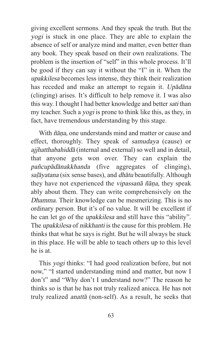giving excellent sermons. And they speak the truth. But the yogi is stuck in one place. They are able to explain the absence of self or analyze mind and matter, even better than any book. They speak based on their own realizations. The problem is the insertion of "self" in this whole process. It'll be good if they can say it without the "I" in it. When the upakkilesa becomes less intense, they think their realization has receded and make an attempt to regain it. Upādāna (clinging) arises. It's difficult to help remove it. I was also this way. I thought I had better knowledge and better sati than my teacher. Such a yogi is prone to think like this, as they, in fact, have tremendous understanding by this stage.

With ñāṇa, one understands mind and matter or cause and effect, thoroughly. They speak of samudaya (cause) or ajjhatthabahiddā (internal and external) so well and in detail, that anyone gets won over. They can explain the pañcupādānakkhanda (five aggregates of clinging), saļāyatana (six sense bases), and *dhātu* beautifully. Although they have not experienced the vipassanā ñāṇa, they speak ably about them. They can write comprehensively on the Dhamma. Their knowledge can be mesmerizing. This is no ordinary person. But it's of no value. It will be excellent if he can let go of the upakkilesa and still have this "ability". The upakkilesa of nikkhanti is the cause for this problem. He thinks that what he says is right. But he will always be stuck in this place. He will be able to teach others up to this level he is at.

This yogi thinks: "I had good realization before, but not now," "I started understanding mind and matter, but now I don't" and "Why don't I understand now?" The reason he thinks so is that he has not truly realized anicca. He has not truly realized anattā (non-self). As a result, he seeks that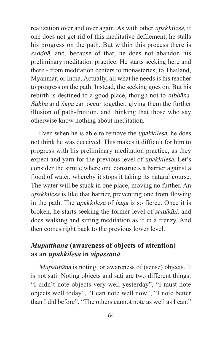realization over and over again. As with other upakkilesa, if one does not get rid of this meditative defilement, he stalls his progress on the path. But within this process there is saddhā, and, because of that, he does not abandon his preliminary meditation practice. He starts seeking here and there - from meditation centers to monasteries, to Thailand, Myanmar, or India. Actually, all what he needs is his teacher to progress on the path. Instead, the seeking goes on. But his rebirth is destined to a good place, though not to nibbāna. Sukha and ñāṇa can occur together, giving them the further illusion of path-fruition, and thinking that those who say otherwise know nothing about meditation.

Even when he is able to remove the upakkilesa, he does not think he was deceived. This makes it difficult for him to progress with his preliminary meditation practice, as they expect and yarn for the previous level of upakkilesa. Let's consider the simile where one constructs a barrier against a flood of water, whereby it stops it taking its natural course. The water will be stuck in one place, moving no further. An upakkilesa is like that barrier, preventing one from flowing in the path. The upakkilesa of ñāṇa is so fierce. Once it is broken, he starts seeking the former level of samādhi, and does walking and sitting meditation as if in a frenzy. And then comes right back to the previous lower level.

# *Mupatthana* **(awareness of objects of attention) as an** *upakkilesa* **in** *vipassanā*

Mupatthāna is noting, or awareness of (sense) objects. It is not sati. Noting objects and sati are two different things: "I didn't note objects very well yesterday", "I must note objects well today", "I can note well now", "I note better than I did before", "The others cannot note as well as I can."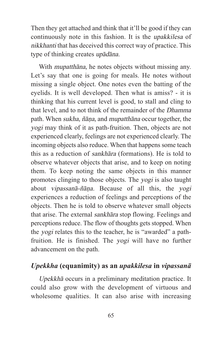Then they get attached and think that it'll be good if they can continuously note in this fashion. It is the upakkilesa of nikkhanti that has deceived this correct way of practice. This type of thinking creates upādāna.

With *mupatthana*, he notes objects without missing any. Let's say that one is going for meals. He notes without missing a single object. One notes even the batting of the eyelids. It is well developed. Then what is amiss? - it is thinking that his current level is good, to stall and cling to that level, and to not think of the remainder of the Dhamma path. When sukha, ñāṇa, and mupatthāna occur together, the yogi may think of it as path-fruition. Then, objects are not experienced clearly, feelings are not experienced clearly. The incoming objects also reduce. When that happens some teach this as a reduction of sankhāra (formations). He is told to observe whatever objects that arise, and to keep on noting them. To keep noting the same objects in this manner promotes clinging to those objects. The yogi is also taught about vipassanā-ñāṇa. Because of all this, the yogi experiences a reduction of feelings and perceptions of the objects. Then he is told to observe whatever small objects that arise. The external sankhāra stop flowing. Feelings and perceptions reduce. The flow of thoughts gets stopped. When the yogi relates this to the teacher, he is "awarded" a pathfruition. He is finished. The yogi will have no further advancement on the path.

# *Upekkha* **(equanimity) as an** *upakkilesa* **in** *vipassanā*

Upekkhā occurs in a preliminary meditation practice. It could also grow with the development of virtuous and wholesome qualities. It can also arise with increasing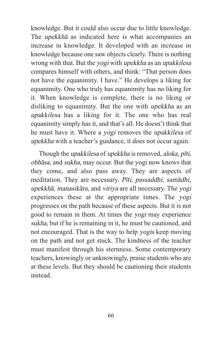knowledge. But it could also occur due to little knowledge. The upekkhā as indicated here is what accompanies an increase in knowledge. It developed with an increase in knowledge because one saw objects clearly. There is nothing wrong with that. But the yogi with upekkha as an upakkilesa compares himself with others, and think: "That person does not have the equanimity. I have." He develops a liking for equanimity. One who truly has equanimity has no liking for it. When knowledge is complete, there is no liking or disliking to equanimity. But the one with upekkha as an upakkilesa has a liking for it. The one who has real equanimity simply has it, and that's all. He doesn't think that he must have it. Where a yogi removes the upakkilesa of upekkha with a teacher's guidance, it does not occur again.

Though the upakkilesa of upekkha is removed, aloka, pīti, obhāsa, and sukha, may occur. But the yogi now knows that they come, and also pass away. They are aspects of meditation. They are necessary. Pīti, passaddhi, samādhi, upekkhā, manasikāra, and viriya are all necessary. The yogi experiences these at the appropriate times. The yogi progresses on the path because of these aspects. But it is not good to remain in them. At times the yogi may experience sukha, but if he is remaining in it, he must be cautioned, and not encouraged. That is the way to help yogis keep moving on the path and not get stuck. The kindness of the teacher must manifest through his sternness. Some contemporary teachers, knowingly or unknowingly, praise students who are at these levels. But they should be cautioning their students instead.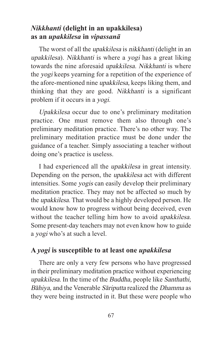## *Nikkhanti* **(delight in an upakkilesa) as an** *upakkilesa* **in** *vipassanā*

The worst of all the *upakkilesa* is *nikkhanti* (delight in an upakkilesa). Nikkhanti is where a yogi has a great liking towards the nine aforesaid upakkilesa. Nikkhanti is where the yogi keeps yearning for a repetition of the experience of the afore-mentioned nine upakkilesa, keeps liking them, and thinking that they are good. Nikkhanti is a significant problem if it occurs in a yogi.

Upakkilesa occur due to one's preliminary meditation practice. One must remove them also through one's preliminary meditation practice. There's no other way. The preliminary meditation practice must be done under the guidance of a teacher. Simply associating a teacher without doing one's practice is useless.

I had experienced all the upakkilesa in great intensity. Depending on the person, the upakkilesa act with different intensities. Some yogis can easily develop their preliminary meditation practice. They may not be affected so much by the upakkilesa. That would be a highly developed person. He would know how to progress without being deceived, even without the teacher telling him how to avoid *upakkilesa*. Some present-day teachers may not even know how to guide a yogi who's at such a level.

# **A** *yogi* **is susceptible to at least one** *upakkilesa*

There are only a very few persons who have progressed in their preliminary meditation practice without experiencing upakkilesa. In the time of the Buddha, people like Santhathi, Bāhiya, and the Venerable Sāriputta realized the Dhamma as they were being instructed in it. But these were people who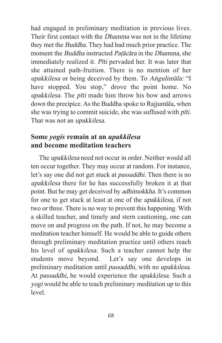had engaged in preliminary meditation in previous lives. Their first contact with the Dhamma was not in the lifetime they met the Buddha. They had had much prior practice. The moment the Buddha instructed Paṭācāra in the Dhamma, she immediately realized it. Pīti pervaded her. It was later that she attained path-fruition. There is no mention of her upakkilesa or being deceived by them. To Aṅgulimāla: "I have stopped. You stop," drove the point home. No upakkilesa. The pīti made him throw his bow and arrows down the precipice. As the Buddha spoke to Rajjumāla, when she was trying to commit suicide, she was suffused with pīti. That was not an *upakkilesa*.

## **Some** *yogis* **remain at an** *upakkilesa*  **and become meditation teachers**

The upakkilesa need not occur in order. Neither would all ten occur together. They may occur at random. For instance, let's say one did not get stuck at passaddhi. Then there is no upakkilesa there for he has successfully broken it at that point. But he may get deceived by adhimokkha. It's common for one to get stuck at least at one of the upakkilesa, if not two or three. There is no way to prevent this happening. With a skilled teacher, and timely and stern cautioning, one can move on and progress on the path. If not, he may become a meditation teacher himself. He would be able to guide others through preliminary meditation practice until others reach his level of upakkilesa. Such a teacher cannot help the students move beyond. Let's say one develops in preliminary meditation until passaddhi, with no upakkilesa. At passaddhi, he would experience the upakkilesa. Such a yogi would be able to teach preliminary meditation up to this level.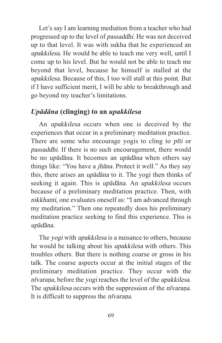Let's say I am learning mediation from a teacher who had progressed up to the level of passaddhi. He was not deceived up to that level. It was with sukha that he experienced an upakkilesa. He would be able to teach me very well, until I come up to his level. But he would not be able to teach me beyond that level, because he himself is stalled at the upakkilesa. Because of this, I too will stall at this point. But if I have sufficient merit, I will be able to breakthrough and go beyond my teacher's limitations.

## *Upādāna* **(clinging) to an** *upakkilesa*

An upakkilesa occurs when one is deceived by the experiences that occur in a preliminary meditation practice. There are some who encourage yogis to cling to *pi*ti or passaddhi. If there is no such encouragement, there would be no upādāna. It becomes an upādāna when others say things like: "You have a jhāna. Protect it well." As they say this, there arises an upādāna to it. The yogi then thinks of seeking it again. This is upādāna. An upakkilesa occurs because of a preliminary meditation practice. Then, with nikkhanti, one evaluates oneself as: "I am advanced through my meditation." Then one repeatedly does his preliminary meditation practice seeking to find this experience. This is upādāna.

The *yogi* with *upakkilesa* is a nuisance to others, because he would be talking about his upakkilesa with others. This troubles others. But there is nothing coarse or gross in his talk. The coarse aspects occur at the initial stages of the preliminary meditation practice. They occur with the nīvaraṇa, before the yogi reaches the level of the upakkilesa. The *upakkilesa* occurs with the suppression of the *nvarana*. It is difficult to suppress the *nīvarana*.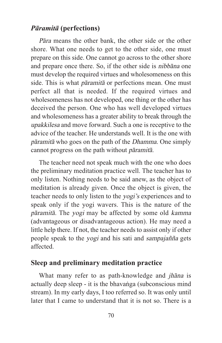#### *Pāramitā* **(perfections)**

Pāra means the other bank, the other side or the other shore. What one needs to get to the other side, one must prepare on this side. One cannot go across to the other shore and prepare once there. So, if the other side is nibbāna one must develop the required virtues and wholesomeness on this side. This is what pāramitā or perfections mean. One must perfect all that is needed. If the required virtues and wholesomeness has not developed, one thing or the other has deceived the person. One who has well developed virtues and wholesomeness has a greater ability to break through the upakkilesa and move forward. Such a one is receptive to the advice of the teacher. He understands well. It is the one with pāramitā who goes on the path of the Dhamma. One simply cannot progress on the path without pāramitā.

The teacher need not speak much with the one who does the preliminary meditation practice well. The teacher has to only listen. Nothing needs to be said anew, as the object of meditation is already given. Once the object is given, the teacher needs to only listen to the yogi's experiences and to speak only if the yogi wavers. This is the nature of the pāramitā. The yogi may be affected by some old kamma (advantageous or disadvantageous action). He may need a little help there. If not, the teacher needs to assist only if other people speak to the yogi and his sati and sampajañña gets affected.

#### **Sleep and preliminary meditation practice**

What many refer to as path-knowledge and *jhāna* is actually deep sleep - it is the bhavaṅga (subconscious mind stream). In my early days, I too referred so. It was only until later that I came to understand that it is not so. There is a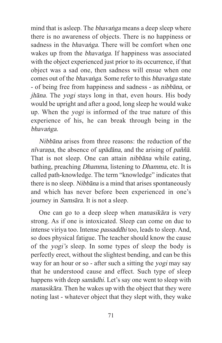mind that is asleep. The *bhavanga* means a deep sleep where there is no awareness of objects. There is no happiness or sadness in the *bhavanga*. There will be comfort when one wakes up from the *bhavanga*. If happiness was associated with the object experienced just prior to its occurrence, if that object was a sad one, then sadness will ensue when one comes out of the bhavaṅga. Some refer to this bhavaṅga state - of being free from happiness and sadness - as nibbāna, or jhāna. The yogi stays long in that, even hours. His body would be upright and after a good, long sleep he would wake up. When the yogi is informed of the true nature of this experience of his, he can break through being in the bhavaṅga.

Nibbāna arises from three reasons: the reduction of the nīvaraṇa, the absence of upādāna, and the arising of paññā. That is not sleep. One can attain nibbāna while eating, bathing, preaching Dhamma, listening to Dhamma, etc. It is called path-knowledge. The term "knowledge" indicates that there is no sleep. Nibbāna is a mind that arises spontaneously and which has never before been experienced in one's journey in Samsāra. It is not a sleep.

One can go to a deep sleep when manasikāra is very strong. As if one is intoxicated. Sleep can come on due to intense viriya too. Intense passaddhi too, leads to sleep. And, so does physical fatigue. The teacher should know the cause of the yogi's sleep. In some types of sleep the body is perfectly erect, without the slightest bending, and can be this way for an hour or so - after such a sitting the yogi may say that he understood cause and effect. Such type of sleep happens with deep samādhi. Let's say one went to sleep with manasikāra. Then he wakes up with the object that they were noting last - whatever object that they slept with, they wake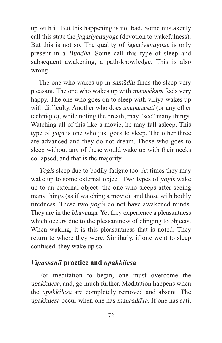up with it. But this happening is not bad. Some mistakenly call this state the jāgariyānuyoga (devotion to wakefulness). But this is not so. The quality of jāgariyānuyoga is only present in a Buddha. Some call this type of sleep and subsequent awakening, a path-knowledge. This is also wrong.

The one who wakes up in samādhi finds the sleep very pleasant. The one who wakes up with manasikāra feels very happy. The one who goes on to sleep with viriya wakes up with difficulty. Another who does ānāpānasati (or any other technique), while noting the breath, may "see" many things. Watching all of this like a movie, he may fall asleep. This type of yogi is one who just goes to sleep. The other three are advanced and they do not dream. Those who goes to sleep without any of these would wake up with their necks collapsed, and that is the majority.

Yogis sleep due to bodily fatigue too. At times they may wake up to some external object. Two types of yogis wake up to an external object: the one who sleeps after seeing many things (as if watching a movie), and those with bodily tiredness. These two yogis do not have awakened minds. They are in the *bhavanga*. Yet they experience a pleasantness which occurs due to the pleasantness of clinging to objects. When waking, it is this pleasantness that is noted. They return to where they were. Similarly, if one went to sleep confused, they wake up so.

#### *Vipassanā* **practice and** *upakkilesa*

For meditation to begin, one must overcome the upakkilesa, and, go much further. Meditation happens when the upakkilesa are completely removed and absent. The upakkilesa occur when one has manasikāra. If one has sati,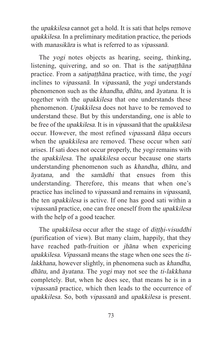the upakkilesa cannot get a hold. It is sati that helps remove upakkilesa. In a preliminary meditation practice, the periods with manasikāra is what is referred to as vipassanā.

The yogi notes objects as hearing, seeing, thinking, listening, quivering, and so on. That is the *satipatthana* practice. From a satipaṭṭhāna practice, with time, the yogi inclines to vipassanā. In vipassanā, the yogi understands phenomenon such as the khandha, dhātu, and āyatana. It is together with the upakkilesa that one understands these phenomenon. Upakkilesa does not have to be removed to understand these. But by this understanding, one is able to be free of the upakkilesa. It is in vipassanā that the upakkilesa occur. However, the most refined vipassanā ñāṇa occurs when the *upakkilesa* are removed. These occur when *sati* arises. If sati does not occur properly, the yogi remains with the upakkilesa. The upakkilesa occur because one starts understanding phenomenon such as khandha, dhātu, and āyatana, and the samādhi that ensues from this understanding. Therefore, this means that when one's practice has inclined to vipassanā and remains in vipassanā, the ten upakkilesa is active. If one has good sati within a vipassanā practice, one can free oneself from the upakkilesa with the help of a good teacher.

The *upakkilesa* occur after the stage of *ditthi-visuddhi* (purification of view). But many claim, happily, that they have reached path-fruition or jhāna when expericing upakkilesa. Vipassanā means the stage when one sees the tilakkhana, however slightly, in phenomena such as khandha, dhātu, and āyatana. The yogi may not see the ti-lakkhana completely. But, when he does see, that means he is in a vipassanā practice, which then leads to the occurrence of upakkilesa. So, both vipassanā and upakkilesa is present.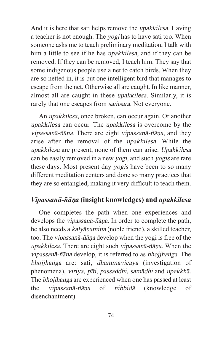And it is here that sati helps remove the upakkilesa. Having a teacher is not enough. The yogi has to have sati too. When someone asks me to teach preliminary meditation, I talk with him a little to see if he has *upakkilesa*, and if they can be removed. If they can be removed, I teach him. They say that some indigenous people use a net to catch birds. When they are so netted in, it is but one intelligent bird that manages to escape from the net. Otherwise all are caught. In like manner, almost all are caught in these upakkilesa. Similarly, it is rarely that one escapes from samsara. Not everyone.

An upakkilesa, once broken, can occur again. Or another upakkilesa can occur. The upakkilesa is overcome by the vipassanā-ñāṇa. There are eight vipassanā-ñāṇa, and they arise after the removal of the upakkilesa. While the upakkilesa are present, none of them can arise. Upakkilesa can be easily removed in a new yogi, and such yogis are rare these days. Most present day yogis have been to so many different meditation centers and done so many practices that they are so entangled, making it very difficult to teach them.

# *Vipassanā-ñā*ṇ*a* **(insight knowledges) and** *upakkilesa*

One completes the path when one experiences and develops the *vipassanā-ñāna*. In order to complete the path, he also needs a kalyāṇamitta (noble friend), a skilled teacher, too. The vipassanā-ñāṇa develop when the yogi is free of the upakkilesa. There are eight such vipassanā-ñāṇa. When the vipassanā-ñāṇa develop, it is referred to as bhojjhaṅga. The bhojjhaṅga are: sati, dhammavicaya (investigation of phenomena), viriya, pīti, passaddhi, samādhi and upekkhā. The bhojjhaṅga are experienced when one has passed at least the vipassanā-ñāṇa of nibbidā (knowledge of disenchantment).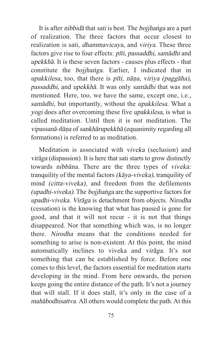It is after nibbida that sati is best. The bojjhanga are a part of realization. The three factors that occur closest to realization is sati, dhammavicaya, and viriya. These three factors give rise to four effects: pīti, passaddhi, samādhi and upekkhā. It is these seven factors - causes plus effects - that constitute the bojjhaṅga. Earlier, I indicated that in upakkilesa, too, that there is pīti, nāṇa, viriya (paggāha), passaddhi, and upekkhā. It was only samādhi that was not mentioned. Here, too, we have the same, except one, i.e., samādhi, but importantly, without the upakkilesa. What a yogi does after overcoming these five upakkilesa, is what is called meditation. Until then it is not meditation. The vipassanā-ñāṇa of sankhārupekkhā (equanimity regarding all formations) is referred to as meditation.

Meditation is associated with viveka (seclusion) and virāga (dispassion). It is here that sati starts to grow distinctly towards nibbāna. There are the three types of viveka: tranquility of the mental factors (kāya-viveka), tranquility of mind (citta-viveka), and freedom from the defilements (upadhi-viveka). The bojjhaṅga are the supportive factors for upadhi-viveka. Virāga is detachment from objects. Nirodha (cessation) is the knowing that what has passed is gone for good, and that it will not recur - it is not that things disappeared. Nor that something which was, is no longer there. Nirodha means that the conditions needed for something to arise is non-existent. At this point, the mind automatically inclines to viveka and virāga. It's not something that can be established by force. Before one comes to this level, the factors essential for meditation starts developing in the mind. From here onwards, the person keeps going the entire distance of the path. It's not a journey that will stall. If it does stall, it's only in the case of a mahābodhisattva. All others would complete the path. At this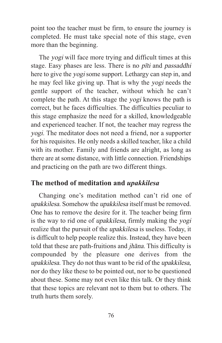point too the teacher must be firm, to ensure the journey is completed. He must take special note of this stage, even more than the beginning.

The yogi will face more trying and difficult times at this stage. Easy phases are less. There is no *pīti* and *passaddhi* here to give the yogi some support. Lethargy can step in, and he may feel like giving up. That is why the yogi needs the gentle support of the teacher, without which he can't complete the path. At this stage the yogi knows the path is correct, but he faces difficulties. The difficulties peculiar to this stage emphasize the need for a skilled, knowledgeable and experienced teacher. If not, the teacher may regress the yogi. The meditator does not need a friend, nor a supporter for his requisites. He only needs a skilled teacher, like a child with its mother. Family and friends are alright, as long as there are at some distance, with little connection. Friendships and practicing on the path are two different things.

#### **The method of meditation and** *upakkilesa*

Changing one's meditation method can't rid one of upakkilesa. Somehow the upakkilesa itself must be removed. One has to remove the desire for it. The teacher being firm is the way to rid one of upakkilesa, firmly making the yogi realize that the pursuit of the upakkilesa is useless. Today, it is difficult to help people realize this. Instead, they have been told that these are path-fruitions and jhāna. This difficulty is compounded by the pleasure one derives from the upakkilesa. They do not thus want to be rid of the upakkilesa, nor do they like these to be pointed out, nor to be questioned about these. Some may not even like this talk. Or they think that these topics are relevant not to them but to others. The truth hurts them sorely.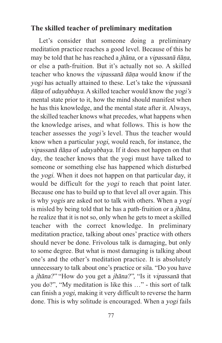## **The skilled teacher of preliminary meditation**

Let's consider that someone doing a preliminary meditation practice reaches a good level. Because of this he may be told that he has reached a jhāna, or a vipassanā ñāṇa, or else a path-fruition. But it's actually not so. A skilled teacher who knows the vipassanā ñāṇa would know if the yogi has actually attained to these. Let's take the vipassanā ñāṇa of udayabbaya. A skilled teacher would know the yogi's mental state prior to it, how the mind should manifest when he has this knowledge, and the mental state after it. Always, the skilled teacher knows what precedes, what happens when the knowledge arises, and what follows. This is how the teacher assesses the yogi's level. Thus the teacher would know when a particular yogi, would reach, for instance, the vipassanā ñāṇa of udayabbaya. If it does not happen on that day, the teacher knows that the yogi must have talked to someone or something else has happened which disturbed the yogi. When it does not happen on that particular day, it would be difficult for the yogi to reach that point later. Because one has to build up to that level all over again. This is why yogis are asked not to talk with others. When a yogi is misled by being told that he has a path-fruition or a jhāna, he realize that it is not so, only when he gets to meet a skilled teacher with the correct knowledge. In preliminary meditation practice, talking about ones' practice with others should never be done. Frivolous talk is damaging, but only to some degree. But what is most damaging is talking about one's and the other's meditation practice. It is absolutely unnecessary to talk about one's practice or sila. "Do you have a jhāna?" "How do you get a jhāna?", "Is it vipassanā that you do?", "My meditation is like this …" - this sort of talk can finish a yogi, making it very difficult to reverse the harm done. This is why solitude is encouraged. When a yogi fails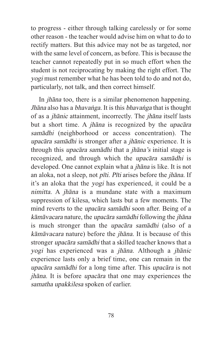to progress - either through talking carelessly or for some other reason - the teacher would advise him on what to do to rectify matters. But this advice may not be as targeted, nor with the same level of concern, as before. This is because the teacher cannot repeatedly put in so much effort when the student is not reciprocating by making the right effort. The yogi must remember what he has been told to do and not do, particularly, not talk, and then correct himself.

In jhāna too, there is a similar phenomenon happening. Jhāna also has a bhavaṅga. It is this bhavaṅga that is thought of as a jhānic attainment, incorrectly. The jhāna itself lasts but a short time. A jhāna is recognized by the upacāra samādhi (neighborhood or access concentration). The upacāra samādhi is stronger after a jhānic experience. It is through this upacāra samādhi that a jhāna's initial stage is recognized, and through which the upacāra samādhi is developed. One cannot explain what a jhāna is like. It is not an aloka, not a sleep, not pīti. Pīti arises before the jhāna. If it's an aloka that the yogi has experienced, it could be a nimitta. A jhāna is a mundane state with a maximum suppression of kilesa, which lasts but a few moments. The mind reverts to the upacāra samādhi soon after. Being of a kāmāvacara nature, the upacāra samādhi following the jhāna is much stronger than the upacāra samādhi (also of a kāmāvacara nature) before the jhāna. It is because of this stronger upacāra samādhi that a skilled teacher knows that a yogi has experienced was a jhāna. Although a jhānic experience lasts only a brief time, one can remain in the upacāra samādhi for a long time after. This upacāra is not jhāna. It is before upacāra that one may experiences the samatha upakkilesa spoken of earlier.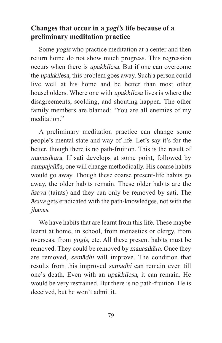## **Changes that occur in a** *yogi's* **life because of a preliminary meditation practice**

Some yogis who practice meditation at a center and then return home do not show much progress. This regression occurs when there is upakkilesa. But if one can overcome the upakkilesa, this problem goes away. Such a person could live well at his home and be better than most other householders. Where one with upakkilesa lives is where the disagreements, scolding, and shouting happen. The other family members are blamed: "You are all enemies of my meditation"

A preliminary meditation practice can change some people's mental state and way of life. Let's say it's for the better, though there is no path-fruition. This is the result of manasikāra. If sati develops at some point, followed by sampajañña, one will change methodically. His coarse habits would go away. Though these coarse present-life habits go away, the older habits remain. These older habits are the āsava (taints) and they can only be removed by sati. The āsava gets eradicated with the path-knowledges, not with the jhānas.

We have habits that are learnt from this life. These maybe learnt at home, in school, from monastics or clergy, from overseas, from yogis, etc. All these present habits must be removed. They could be removed by manasikāra. Once they are removed, samādhi will improve. The condition that results from this improved samādhi can remain even till one's death. Even with an upakkilesa, it can remain. He would be very restrained. But there is no path-fruition. He is deceived, but he won't admit it.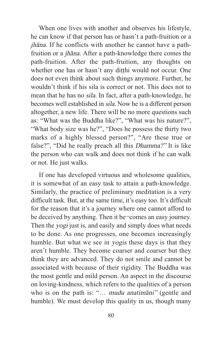When one lives with another and observes his lifestyle, he can know if that person has or hasn't a path-fruition or a jhāna. If he conflicts with another he cannot have a pathfruition or a jhāna. After a path-knowledge there comes the path-fruition. After the path-fruition, any thoughts on whether one has or hasn't any ditthi would not occur. One does not even think about such things anymore. Further, he wouldn't think if his sila is correct or not. This does not to mean that he has no sila. In fact, after a path-knowledge, he becomes well established in sila. Now he is a different person altogether, a new life. There will be no more questions such as: "What was the Buddha like?", "What was his nature?", "What body size was he?", "Does he possess the thirty two marks of a highly blessed person?", "Are these true or false?", "Did he really preach all this Dhamma?" It is like the person who can walk and does not think if he can walk or not. He just walks.

If one has developed virtuous and wholesome qualities, it is somewhat of an easy task to attain a path-knowledge. Similarly, the practice of preliminary meditation is a very difficult task. But, at the same time, it's easy too. It's difficult for the reason that it's a journey where one cannot afford to be deceived by anything. Then it be¬comes an easy journey. Then the *yogi* just is, and easily and simply does what needs to be done. As one progresses, one becomes increasingly humble. But what we see in *yogis* these days is that they aren't humble. They become coarser and coarser but they think they are advanced. They do not smile and cannot be associated with because of their rigidity. The Buddha was the most gentle and mild person. An aspect in the discourse on loving-kindness, which refers to the qualities of a person who is on the path is: "... mudu anatimāni" (gentle and humble). We must develop this quality in us, though many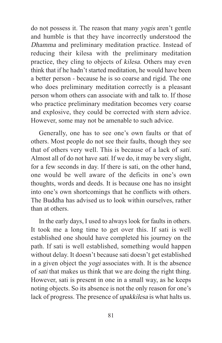do not possess it. The reason that many yogis aren't gentle and humble is that they have incorrectly understood the Dhamma and preliminary meditation practice. Instead of reducing their kilesa with the preliminary meditation practice, they cling to objects of kilesa. Others may even think that if he hadn't started meditation, he would have been a better person - because he is so coarse and rigid. The one who does preliminary meditation correctly is a pleasant person whom others can associate with and talk to. If those who practice preliminary meditation becomes very coarse and explosive, they could be corrected with stern advice. However, some may not be amenable to such advice.

Generally, one has to see one's own faults or that of others. Most people do not see their faults, though they see that of others very well. This is because of a lack of sati. Almost all of do not have sati. If we do, it may be very slight, for a few seconds in day. If there is sati, on the other hand, one would be well aware of the deficits in one's own thoughts, words and deeds. It is because one has no insight into one's own shortcomings that he conflicts with others. The Buddha has advised us to look within ourselves, rather than at others.

In the early days, I used to always look for faults in others. It took me a long time to get over this. If sati is well established one should have completed his journey on the path. If sati is well established, something would happen without delay. It doesn't because sati doesn't get established in a given object the yogi associates with. It is the absence of sati that makes us think that we are doing the right thing. However, sati is present in one in a small way, as he keeps noting objects. So its absence is not the only reason for one's lack of progress. The presence of upakkilesa is what halts us.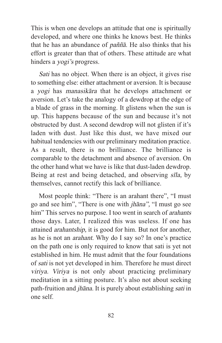This is when one develops an attitude that one is spiritually developed, and where one thinks he knows best. He thinks that he has an abundance of paññā. He also thinks that his effort is greater than that of others. These attitude are what hinders a *yogi's* progress.

Sati has no object. When there is an object, it gives rise to something else: either attachment or aversion. It is because a yogi has manasikāra that he develops attachment or aversion. Let's take the analogy of a dewdrop at the edge of a blade of grass in the morning. It glistens when the sun is up. This happens because of the sun and because it's not obstructed by dust. A second dewdrop will not glisten if it's laden with dust. Just like this dust, we have mixed our habitual tendencies with our preliminary meditation practice. As a result, there is no brilliance. The brilliance is comparable to the detachment and absence of aversion. On the other hand what we have is like that dust-laden dewdrop. Being at rest and being detached, and observing sīla, by themselves, cannot rectify this lack of brilliance.

Most people think: "There is an arahant there", "I must go and see him", "There is one with jhāna", "I must go see him" This serves no purpose. I too went in search of *arahants* those days. Later, I realized this was useless. If one has attained arahantship, it is good for him. But not for another, as he is not an arahant. Why do I say so? In one's practice on the path one is only required to know that sati is yet not established in him. He must admit that the four foundations of sati is not yet developed in him. Therefore he must direct viriya. Viriya is not only about practicing preliminary meditation in a sitting posture. It's also not about seeking path-fruition and jhāna. It is purely about establishing sati in one self.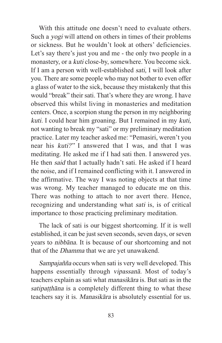With this attitude one doesn't need to evaluate others. Such a yogi will attend on others in times of their problems or sickness. But he wouldn't look at others' deficiencies. Let's say there's just you and me - the only two people in a monastery, or a kuti close-by, somewhere. You become sick. If I am a person with well-established sati, I will look after you. There are some people who may not bother to even offer a glass of water to the sick, because they mistakenly that this would "break" their sati. That's where they are wrong. I have observed this whilst living in monasteries and meditation centers. Once, a scorpion stung the person in my neighboring kuti. I could hear him groaning. But I remained in my kuti, not wanting to break my "sati" or my preliminary meditation practice. Later my teacher asked me: "Pemasiri, weren't you near his kuti?" I answered that I was, and that I was meditating. He asked me if I had sati then. I answered yes. He then said that I actually hadn't sati. He asked if I heard the noise, and if I remained conflicting with it. I answered in the affirmative. The way I was noting objects at that time was wrong. My teacher managed to educate me on this. There was nothing to attach to nor avert there. Hence, recognizing and understanding what sati is, is of critical importance to those practicing preliminary meditation.

The lack of sati is our biggest shortcoming. If it is well established, it can be just seven seconds, seven days, or seven years to nibbāna. It is because of our shortcoming and not that of the Dhamma that we are yet unawakend.

Sampajañña occurs when sati is very well developed. This happens essentially through vipassanā. Most of today's teachers explain as sati what manasikāra is. But sati as in the satipatthana is a completely different thing to what these teachers say it is. Manasikāra is absolutely essential for us.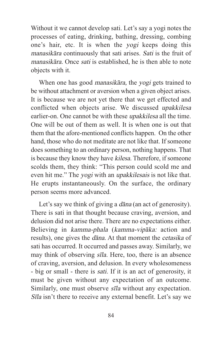Without it we cannot develop sati. Let's say a yogi notes the processes of eating, drinking, bathing, dressing, combing one's hair, etc. It is when the yogi keeps doing this manasikāra continuously that sati arises. Sati is the fruit of manasikāra. Once sati is established, he is then able to note objects with it.

When one has good *manasikāra*, the yogi gets trained to be without attachment or aversion when a given object arises. It is because we are not yet there that we get effected and conflicted when objects arise. We discussed upakkilesa earlier-on. One cannot be with these upakkilesa all the time. One will be out of them as well. It is when one is out that them that the afore-mentioned conflicts happen. On the other hand, those who do not meditate are not like that. If someone does something to an ordinary person, nothing happens. That is because they know they have kilesa. Therefore, if someone scolds them, they think: "This person could scold me and even hit me." The *yogi* with an *upakkilesais* is not like that. He erupts instantaneously. On the surface, the ordinary person seems more advanced.

Let's say we think of giving a *dāna* (an act of generosity). There is sati in that thought because craving, aversion, and delusion did not arise there. There are no expectations either. Believing in kamma-phala (kamma-vipāka: action and results), one gives the dāna. At that moment the cetasika of sati has occurred. It occurred and passes away. Similarly, we may think of observing sīla. Here, too, there is an absence of craving, aversion, and delusion. In every wholesomeness - big or small - there is sati. If it is an act of generosity, it must be given without any expectation of an outcome. Similarly, one must observe sīla without any expectation. Sīla isn't there to receive any external benefit. Let's say we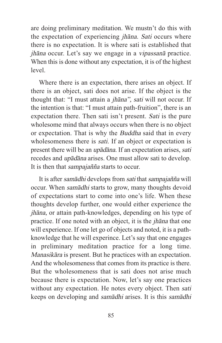are doing preliminary meditation. We mustn't do this with the expectation of experiencing jhāna. Sati occurs where there is no expectation. It is where sati is established that jhāna occur. Let's say we engage in a vipassanā practice. When this is done without any expectation, it is of the highest level.

Where there is an expectation, there arises an object. If there is an object, sati does not arise. If the object is the thought that: "I must attain a jhāna", sati will not occur. If the intention is that: "I must attain path-fruition", there is an expectation there. Then sati isn't present. Sati is the pure wholesome mind that always occurs when there is no object or expectation. That is why the Buddha said that in every wholesomeness there is *sati*. If an object or expectation is present there will be an upādāna. If an expectation arises, sati recedes and upādāna arises. One must allow sati to develop. It is then that sampajañña starts to occur.

It is after samādhi develops from sati that sampajañña will occur. When samādhi starts to grow, many thoughts devoid of expectations start to come into one's life. When these thoughts develop further, one would either experience the jhāna, or attain path-knowledges, depending on his type of practice. If one noted with an object, it is the jhāna that one will experience. If one let go of objects and noted, it is a pathknowledge that he will experince. Let's say that one engages in preliminary meditation practice for a long time. Manasikāra is present. But he practices with an expectation. And the wholesomeness that comes from its practice is there. But the wholesomeness that is sati does not arise much because there is expectation. Now, let's say one practices without any expectation. He notes every object. Then sati keeps on developing and samādhi arises. It is this samādhi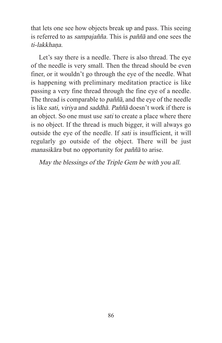that lets one see how objects break up and pass. This seeing is referred to as sampajañña. This is paññā and one sees the ti-lakkhana.

Let's say there is a needle. There is also thread. The eye of the needle is very small. Then the thread should be even finer, or it wouldn't go through the eye of the needle. What is happening with preliminary meditation practice is like passing a very fine thread through the fine eye of a needle. The thread is comparable to paññā, and the eye of the needle is like sati, viriya and saddhā. Paññā doesn't work if there is an object. So one must use sati to create a place where there is no object. If the thread is much bigger, it will always go outside the eye of the needle. If sati is insufficient, it will regularly go outside of the object. There will be just manasikāra but no opportunity for paññā to arise.

May the blessings of the Triple Gem be with you all.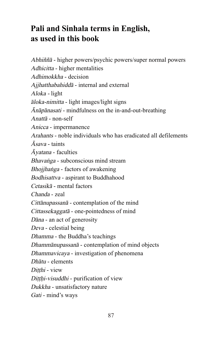# **Pali and Sinhala terms in English, as used in this book**

Abhiññā - higher powers/psychic powers/super normal powers Adhicitta - higher mentalities Adhimokkha - decision Ajjhatthabahiddā - internal and external Aloka - light āloka-nimitta - light images/light signs Ānāpānasati - mindfulness on the in-and-out-breathing Anattā - non-self Anicca - impermanence Arahants - noble individuals who has eradicated all defilements  $\bar{A}$ sava - taints  $\bar{A}$ *vatana* - faculties Bhavaṅga - subconscious mind stream Bhojjhaṅga - factors of awakening Bodhisattva - aspirant to Buddhahood Cetasikā - mental factors Chanda - zeal Cittānupassanā - contemplation of the mind Cittassekaggatā - one-pointedness of mind Dāna - an act of generosity Deva - celestial being Dhamma - the Buddha's teachings Dhammānupassanā - contemplation of mind objects Dhammavicaya - investigation of phenomena Dhātu - elements Ditthi - view Diṭṭḥi-visuddhi - purification of view Dukkha - unsatisfactory nature Gati - mind's ways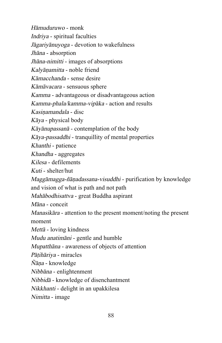Hāmuduruwo - monk Indriya - spiritual faculties Jāgariyānuyoga - devotion to wakefulness Jhāna - absorption Jhāna-nimitti - images of absorptions Kalyāṇamitta - noble friend Kāmacchanda - sense desire Kāmāvacara - sensuous sphere Kamma - advantageous or disadvantageous action Kamma-phala/kamma-vipāka - action and results Kasiṇamandala - disc Kāya - physical body Kāyānupassanā - contemplation of the body Kāya-passaddhi - tranquillity of mental properties Khanthi - patience Khandha - aggregates Kilesa - defilements Kuti - shelter/hut Maggāmagga-ñāṇadassana-visuddhi - purification by knowledge and vision of what is path and not path Mahābodhisattva - great Buddha aspirant Māna - conceit Manasikāra - attention to the present moment/noting the present moment Mettā - loving kindness Mudu anatimāni - gentle and humble Mupatthāna - awareness of objects of attention Pāṭihāriya - miracles  $\tilde{N}$ āna - knowledge Nibbāna - enlightenment Nibbidā - knowledge of disenchantment Nikkhanti - delight in an upakkilesa Nimitta - image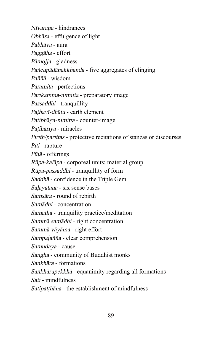Nīvaraṇa - hindrances Obhāsa - effulgence of light Pabhāva - aura Paggāha - effort Pāmojja - gladness Pañcupādānakkhanda - five aggregates of clinging Paññā - wisdom Pāramitā - perfections Parikamma-nimitta - preparatory image Passaddhi - tranquillity Pathavī-dhātu - earth element Patibhāga-nimitta - counter-image Pāṭihāriya - miracles Pirith/parittas - protective recitations of stanzas or discourses Pīti - rapture Pūjā - offerings Rūpa-kalāpa - corporeal units; material group Rūpa-passaddhi - tranquillity of form Saddhā - confidence in the Triple Gem Saḷāyatana - six sense bases Samsāra - round of rebirth Samādhi - concentration Samatha - tranquility practice/meditation Sammā samādhi - right concentration Sammā vāyāma - right effort Sampajañña - clear comprehension Samudaya - cause Sangha - community of Buddhist monks Sankhāra - formations Sankhārupekkhā - equanimity regarding all formations Sati - mindfulness Satipatthāna - the establishment of mindfulness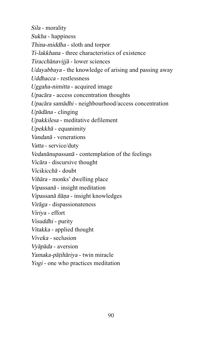Sila - morality Sukha - happiness Thina-middha - sloth and torpor Ti-lakkhana - three characteristics of existence Tiracchānavijjā - lower sciences Udayabbaya - the knowledge of arising and passing away Uddhacca - restlessness Uggaha-nimitta - acquired image Upacāra - access concentration thoughts Upacāra samādhi - neighbourhood/access concentration Upādāna - clinging Upakkilesa - meditative defilement Upekkhā - equanimity Vandanā - venerations Vatta - service/duty Vedanānupassanā - contemplation of the feelings Vicāra - discursive thought Vicikicchā - doubt Vihāra - monks' dwelling place Vipassanā - insight meditation Vipassanā ñāṇa - insight knowledges Virāga - dispassionateness Viriya - effort Visuddhi - purity Vitakka - applied thought Viveka - seclusion Vyāpāda - aversion Yamaka-pāṭihāriya - twin miracle Yogi - one who practices meditation